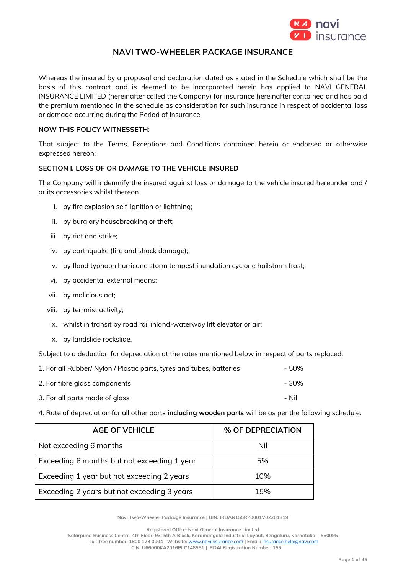

# **NAVI TWO-WHEELER PACKAGE INSURANCE**

Whereas the insured by a proposal and declaration dated as stated in the Schedule which shall be the basis of this contract and is deemed to be incorporated herein has applied to NAVI GENERAL INSURANCE LIMITED (hereinafter called the Company) for insurance hereinafter contained and has paid the premium mentioned in the schedule as consideration for such insurance in respect of accidental loss or damage occurring during the Period of Insurance.

## **NOW THIS POLICY WITNESSETH**:

That subject to the Terms, Exceptions and Conditions contained herein or endorsed or otherwise expressed hereon:

# **SECTION I. LOSS OF OR DAMAGE TO THE VEHICLE INSURED**

The Company will indemnify the insured against loss or damage to the vehicle insured hereunder and / or its accessories whilst thereon

- i. by fire explosion self-ignition or lightning;
- ii. by burglary housebreaking or theft;
- iii. by riot and strike;
- iv. by earthquake (fire and shock damage);
- v. by flood typhoon hurricane storm tempest inundation cyclone hailstorm frost;
- vi. by accidental external means;
- vii. by malicious act;
- viii. by terrorist activity;
- ix. whilst in transit by road rail inland-waterway lift elevator or air;
- x. by landslide rockslide.

Subject to a deduction for depreciation at the rates mentioned below in respect of parts replaced:

| 1. For all Rubber/ Nylon / Plastic parts, tyres and tubes, batteries | - 50% |
|----------------------------------------------------------------------|-------|
| 2. For fibre glass components                                        | - 30% |
| 3. For all parts made of glass                                       | – Nil |

4. Rate of depreciation for all other parts **including wooden parts** will be as per the following schedule.

| <b>AGE OF VEHICLE</b>                       | % OF DEPRECIATION |
|---------------------------------------------|-------------------|
| Not exceeding 6 months                      | Nil               |
| Exceeding 6 months but not exceeding 1 year | 5%                |
| Exceeding 1 year but not exceeding 2 years  | 10%               |
| Exceeding 2 years but not exceeding 3 years | 15%               |

**Navi Two-Wheeler Package Insurance | UIN: IRDAN155RP0001V02201819**

**Salarpuria Business Centre, 4th Floor, 93, 5th A Block, Koramangala Industrial Layout, Bengaluru, Karnataka – 560095 Toll-free number: 1800 123 0004 | Website:** [www.naviinsurance.com](http://www.naviinsurance.com/) **| Email:** [insurance.help@navi.com](mailto:insurance.help@navi.com)

**Registered Office: Navi General Insurance Limited**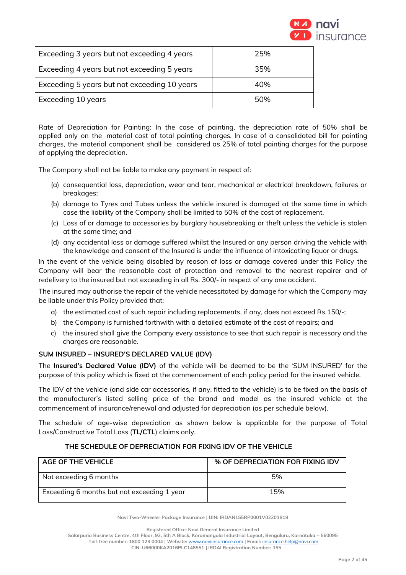

| Exceeding 3 years but not exceeding 4 years  | 25% |
|----------------------------------------------|-----|
| Exceeding 4 years but not exceeding 5 years  | 35% |
| Exceeding 5 years but not exceeding 10 years | 40% |
| Exceeding 10 years                           | 50% |

Rate of Depreciation for Painting: In the case of painting, the depreciation rate of 50% shall be applied only on the material cost of total painting charges. In case of a consolidated bill for painting charges, the material component shall be considered as 25% of total painting charges for the purpose of applying the depreciation.

The Company shall not be liable to make any payment in respect of:

- (a) consequential loss, depreciation, wear and tear, mechanical or electrical breakdown, failures or breakages;
- (b) damage to Tyres and Tubes unless the vehicle insured is damaged at the same time in which case the liability of the Company shall be limited to 50% of the cost of replacement.
- (c) Loss of or damage to accessories by burglary housebreaking or theft unless the vehicle is stolen at the same time; and
- (d) any accidental loss or damage suffered whilst the Insured or any person driving the vehicle with the knowledge and consent of the Insured is under the influence of intoxicating liquor or drugs.

In the event of the vehicle being disabled by reason of loss or damage covered under this Policy the Company will bear the reasonable cost of protection and removal to the nearest repairer and of redelivery to the insured but not exceeding in all Rs. 300/- in respect of any one accident.

The insured may authorise the repair of the vehicle necessitated by damage for which the Company may be liable under this Policy provided that:

- a) the estimated cost of such repair including replacements, if any, does not exceed Rs.150/-;
- b) the Company is furnished forthwith with a detailed estimate of the cost of repairs; and
- c) the insured shall give the Company every assistance to see that such repair is necessary and the charges are reasonable.

## **SUM INSURED – INSURED'S DECLARED VALUE (IDV)**

The **Insured's Declared Value (IDV)** of the vehicle will be deemed to be the 'SUM INSURED' for the purpose of this policy which is fixed at the commencement of each policy period for the insured vehicle.

The IDV of the vehicle (and side car accessories, if any, fitted to the vehicle) is to be fixed on the basis of the manufacturer's listed selling price of the brand and model as the insured vehicle at the commencement of insurance/renewal and adjusted for depreciation (as per schedule below).

The schedule of age-wise depreciation as shown below is applicable for the purpose of Total Loss/Constructive Total Loss (**TL/CTL**) claims only.

## **THE SCHEDULE OF DEPRECIATION FOR FIXING IDV OF THE VEHICLE**

| <b>AGE OF THE VEHICLE</b>                   | % OF DEPRECIATION FOR FIXING IDV |
|---------------------------------------------|----------------------------------|
| Not exceeding 6 months                      | 5%                               |
| Exceeding 6 months but not exceeding 1 year | 15%                              |

**Navi Two-Wheeler Package Insurance | UIN: IRDAN155RP0001V02201819**

**Registered Office: Navi General Insurance Limited**

**Salarpuria Business Centre, 4th Floor, 93, 5th A Block, Koramangala Industrial Layout, Bengaluru, Karnataka – 560095 Toll-free number: 1800 123 0004 | Website:** [www.naviinsurance.com](http://www.naviinsurance.com/) **| Email:** [insurance.help@navi.com](mailto:insurance.help@navi.com)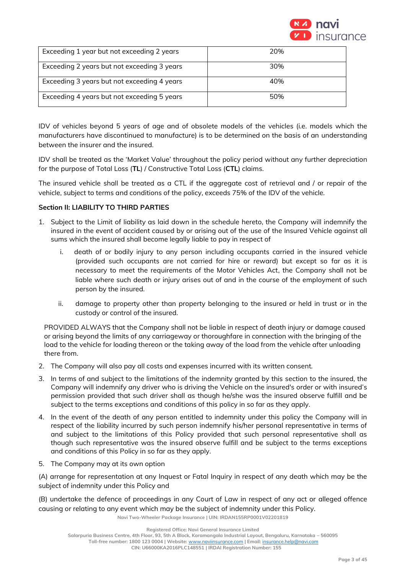

| Exceeding 1 year but not exceeding 2 years  | 20% |
|---------------------------------------------|-----|
| Exceeding 2 years but not exceeding 3 years | 30% |
| Exceeding 3 years but not exceeding 4 years | 40% |
| Exceeding 4 years but not exceeding 5 years | 50% |

IDV of vehicles beyond 5 years of age and of obsolete models of the vehicles (i.e. models which the manufacturers have discontinued to manufacture) is to be determined on the basis of an understanding between the insurer and the insured.

IDV shall be treated as the 'Market Value' throughout the policy period without any further depreciation for the purpose of Total Loss (**TL**) / Constructive Total Loss (**CTL**) claims.

The insured vehicle shall be treated as a CTL if the aggregate cost of retrieval and / or repair of the vehicle, subject to terms and conditions of the policy, exceeds 75% of the IDV of the vehicle.

## **Section II: LIABILITY TO THIRD PARTIES**

- 1. Subject to the Limit of liability as laid down in the schedule hereto, the Company will indemnify the insured in the event of accident caused by or arising out of the use of the Insured Vehicle against all sums which the insured shall become legally liable to pay in respect of
	- i. death of or bodily injury to any person including occupants carried in the insured vehicle (provided such occupants are not carried for hire or reward) but except so far as it is necessary to meet the requirements of the Motor Vehicles Act, the Company shall not be liable where such death or injury arises out of and in the course of the employment of such person by the insured.
	- ii. damage to property other than property belonging to the insured or held in trust or in the custody or control of the insured.

PROVIDED ALWAYS that the Company shall not be liable in respect of death injury or damage caused or arising beyond the limits of any carriageway or thoroughfare in connection with the bringing of the load to the vehicle for loading thereon or the taking away of the load from the vehicle after unloading there from.

- 2. The Company will also pay all costs and expenses incurred with its written consent.
- 3. In terms of and subject to the limitations of the indemnity granted by this section to the insured, the Company will indemnify any driver who is driving the Vehicle on the insured's order or with insured's permission provided that such driver shall as though he/she was the insured observe fulfill and be subject to the terms exceptions and conditions of this policy in so far as they apply.
- 4. In the event of the death of any person entitled to indemnity under this policy the Company will in respect of the liability incurred by such person indemnify his/her personal representative in terms of and subject to the limitations of this Policy provided that such personal representative shall as though such representative was the insured observe fulfill and be subject to the terms exceptions and conditions of this Policy in so far as they apply.
- 5. The Company may at its own option

(A) arrange for representation at any Inquest or Fatal Inquiry in respect of any death which may be the subject of indemnity under this Policy and

(B) undertake the defence of proceedings in any Court of Law in respect of any act or alleged offence causing or relating to any event which may be the subject of indemnity under this Policy.

**Navi Two-Wheeler Package Insurance | UIN: IRDAN155RP0001V02201819**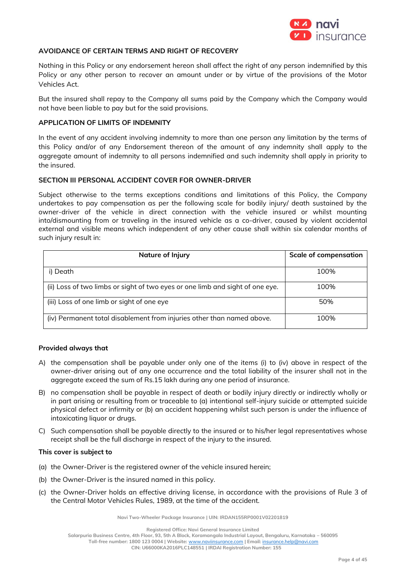

## **AVOIDANCE OF CERTAIN TERMS AND RIGHT OF RECOVERY**

Nothing in this Policy or any endorsement hereon shall affect the right of any person indemnified by this Policy or any other person to recover an amount under or by virtue of the provisions of the Motor Vehicles Act.

But the insured shall repay to the Company all sums paid by the Company which the Company would not have been liable to pay but for the said provisions.

#### **APPLICATION OF LIMITS OF INDEMNITY**

In the event of any accident involving indemnity to more than one person any limitation by the terms of this Policy and/or of any Endorsement thereon of the amount of any indemnity shall apply to the aggregate amount of indemnity to all persons indemnified and such indemnity shall apply in priority to the insured.

#### **SECTION III PERSONAL ACCIDENT COVER FOR OWNER-DRIVER**

Subject otherwise to the terms exceptions conditions and limitations of this Policy, the Company undertakes to pay compensation as per the following scale for bodily injury/ death sustained by the owner-driver of the vehicle in direct connection with the vehicle insured or whilst mounting into/dismounting from or traveling in the insured vehicle as a co-driver, caused by violent accidental external and visible means which independent of any other cause shall within six calendar months of such injury result in:

| Nature of Injury                                                              | <b>Scale of compensation</b> |
|-------------------------------------------------------------------------------|------------------------------|
| i) Death                                                                      | 100%                         |
| (ii) Loss of two limbs or sight of two eyes or one limb and sight of one eye. | 100%                         |
| (iii) Loss of one limb or sight of one eye                                    | 50%                          |
| (iv) Permanent total disablement from injuries other than named above.        | 100%                         |

#### **Provided always that**

- A) the compensation shall be payable under only one of the items (i) to (iv) above in respect of the owner-driver arising out of any one occurrence and the total liability of the insurer shall not in the aggregate exceed the sum of Rs.15 lakh during any one period of insurance.
- B) no compensation shall be payable in respect of death or bodily injury directly or indirectly wholly or in part arising or resulting from or traceable to (a) intentional self-injury suicide or attempted suicide physical defect or infirmity or (b) an accident happening whilst such person is under the influence of intoxicating liquor or drugs.
- C) Such compensation shall be payable directly to the insured or to his/her legal representatives whose receipt shall be the full discharge in respect of the injury to the insured.

#### **This cover is subject to**

- (a) the Owner-Driver is the registered owner of the vehicle insured herein;
- (b) the Owner-Driver is the insured named in this policy.
- (c) the Owner-Driver holds an effective driving license, in accordance with the provisions of Rule 3 of the Central Motor Vehicles Rules, 1989, at the time of the accident.

**Navi Two-Wheeler Package Insurance | UIN: IRDAN155RP0001V02201819**

**Registered Office: Navi General Insurance Limited**

**Salarpuria Business Centre, 4th Floor, 93, 5th A Block, Koramangala Industrial Layout, Bengaluru, Karnataka – 560095**

**Toll-free number: 1800 123 0004 | Website:** [www.naviinsurance.com](http://www.naviinsurance.com/) **| Email:** [insurance.help@navi.com](mailto:insurance.help@navi.com)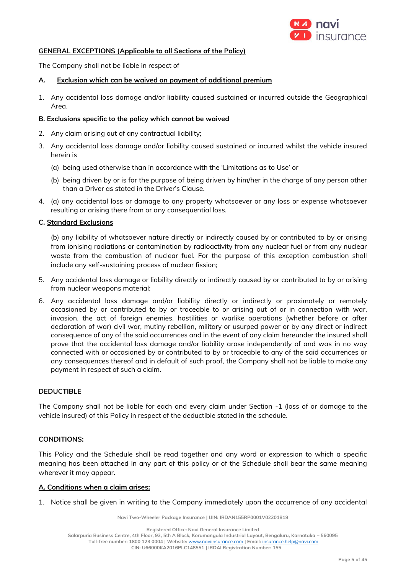

## **GENERAL EXCEPTIONS (Applicable to all Sections of the Policy)**

The Company shall not be liable in respect of

## **A. Exclusion which can be waived on payment of additional premium**

1. Any accidental loss damage and/or liability caused sustained or incurred outside the Geographical Area.

## **B. Exclusions specific to the policy which cannot be waived**

- 2. Any claim arising out of any contractual liability;
- 3. Any accidental loss damage and/or liability caused sustained or incurred whilst the vehicle insured herein is
	- (a) being used otherwise than in accordance with the 'Limitations as to Use' or
	- (b) being driven by or is for the purpose of being driven by him/her in the charge of any person other than a Driver as stated in the Driver's Clause.
- 4. (a) any accidental loss or damage to any property whatsoever or any loss or expense whatsoever resulting or arising there from or any consequential loss.

## **C. Standard Exclusions**

(b) any liability of whatsoever nature directly or indirectly caused by or contributed to by or arising from ionising radiations or contamination by radioactivity from any nuclear fuel or from any nuclear waste from the combustion of nuclear fuel. For the purpose of this exception combustion shall include any self-sustaining process of nuclear fission;

- 5. Any accidental loss damage or liability directly or indirectly caused by or contributed to by or arising from nuclear weapons material;
- 6. Any accidental loss damage and/or liability directly or indirectly or proximately or remotely occasioned by or contributed to by or traceable to or arising out of or in connection with war, invasion, the act of foreign enemies, hostilities or warlike operations (whether before or after declaration of war) civil war, mutiny rebellion, military or usurped power or by any direct or indirect consequence of any of the said occurrences and in the event of any claim hereunder the insured shall prove that the accidental loss damage and/or liability arose independently of and was in no way connected with or occasioned by or contributed to by or traceable to any of the said occurrences or any consequences thereof and in default of such proof, the Company shall not be liable to make any payment in respect of such a claim.

## **DEDUCTIBLE**

The Company shall not be liable for each and every claim under Section -1 (loss of or damage to the vehicle insured) of this Policy in respect of the deductible stated in the schedule.

## **CONDITIONS:**

This Policy and the Schedule shall be read together and any word or expression to which a specific meaning has been attached in any part of this policy or of the Schedule shall bear the same meaning wherever it may appear.

## **A. Conditions when a claim arises:**

1. Notice shall be given in writing to the Company immediately upon the occurrence of any accidental

**Navi Two-Wheeler Package Insurance | UIN: IRDAN155RP0001V02201819**

**Registered Office: Navi General Insurance Limited**

**Salarpuria Business Centre, 4th Floor, 93, 5th A Block, Koramangala Industrial Layout, Bengaluru, Karnataka – 560095**

**Toll-free number: 1800 123 0004 | Website:** [www.naviinsurance.com](http://www.naviinsurance.com/) **| Email:** [insurance.help@navi.com](mailto:insurance.help@navi.com)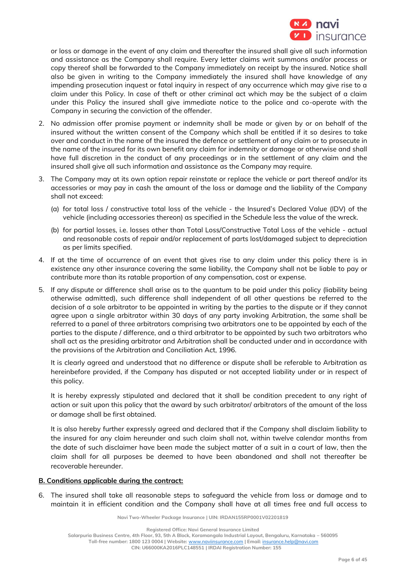

or loss or damage in the event of any claim and thereafter the insured shall give all such information and assistance as the Company shall require. Every letter claims writ summons and/or process or copy thereof shall be forwarded to the Company immediately on receipt by the insured. Notice shall also be given in writing to the Company immediately the insured shall have knowledge of any impending prosecution inquest or fatal inquiry in respect of any occurrence which may give rise to a claim under this Policy. In case of theft or other criminal act which may be the subject of a claim under this Policy the insured shall give immediate notice to the police and co-operate with the Company in securing the conviction of the offender.

- 2. No admission offer promise payment or indemnity shall be made or given by or on behalf of the insured without the written consent of the Company which shall be entitled if it so desires to take over and conduct in the name of the insured the defence or settlement of any claim or to prosecute in the name of the insured for its own benefit any claim for indemnity or damage or otherwise and shall have full discretion in the conduct of any proceedings or in the settlement of any claim and the insured shall give all such information and assistance as the Company may require.
- 3. The Company may at its own option repair reinstate or replace the vehicle or part thereof and/or its accessories or may pay in cash the amount of the loss or damage and the liability of the Company shall not exceed:
	- (a) for total loss / constructive total loss of the vehicle the Insured's Declared Value (IDV) of the vehicle (including accessories thereon) as specified in the Schedule less the value of the wreck.
	- (b) for partial losses, i.e. losses other than Total Loss/Constructive Total Loss of the vehicle actual and reasonable costs of repair and/or replacement of parts lost/damaged subject to depreciation as per limits specified.
- 4. If at the time of occurrence of an event that gives rise to any claim under this policy there is in existence any other insurance covering the same liability, the Company shall not be liable to pay or contribute more than its ratable proportion of any compensation, cost or expense.
- 5. If any dispute or difference shall arise as to the quantum to be paid under this policy (liability being otherwise admitted), such difference shall independent of all other questions be referred to the decision of a sole arbitrator to be appointed in writing by the parties to the dispute or if they cannot agree upon a single arbitrator within 30 days of any party invoking Arbitration, the same shall be referred to a panel of three arbitrators comprising two arbitrators one to be appointed by each of the parties to the dispute / difference, and a third arbitrator to be appointed by such two arbitrators who shall act as the presiding arbitrator and Arbitration shall be conducted under and in accordance with the provisions of the Arbitration and Conciliation Act, 1996.

It is clearly agreed and understood that no difference or dispute shall be referable to Arbitration as hereinbefore provided, if the Company has disputed or not accepted liability under or in respect of this policy.

It is hereby expressly stipulated and declared that it shall be condition precedent to any right of action or suit upon this policy that the award by such arbitrator/ arbitrators of the amount of the loss or damage shall be first obtained.

It is also hereby further expressly agreed and declared that if the Company shall disclaim liability to the insured for any claim hereunder and such claim shall not, within twelve calendar months from the date of such disclaimer have been made the subject matter of a suit in a court of law, then the claim shall for all purposes be deemed to have been abandoned and shall not thereafter be recoverable hereunder.

## **B. Conditions applicable during the contract:**

6. The insured shall take all reasonable steps to safeguard the vehicle from loss or damage and to maintain it in efficient condition and the Company shall have at all times free and full access to

**Navi Two-Wheeler Package Insurance | UIN: IRDAN155RP0001V02201819**

**Salarpuria Business Centre, 4th Floor, 93, 5th A Block, Koramangala Industrial Layout, Bengaluru, Karnataka – 560095**

**Toll-free number: 1800 123 0004 | Website:** [www.naviinsurance.com](http://www.naviinsurance.com/) **| Email:** [insurance.help@navi.com](mailto:insurance.help@navi.com)

**Registered Office: Navi General Insurance Limited**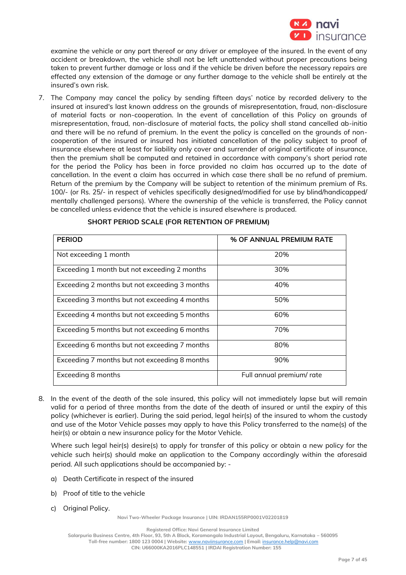

examine the vehicle or any part thereof or any driver or employee of the insured. In the event of any accident or breakdown, the vehicle shall not be left unattended without proper precautions being taken to prevent further damage or loss and if the vehicle be driven before the necessary repairs are effected any extension of the damage or any further damage to the vehicle shall be entirely at the insured's own risk.

7. The Company may cancel the policy by sending fifteen days' notice by recorded delivery to the insured at insured's last known address on the grounds of misrepresentation, fraud, non-disclosure of material facts or non-cooperation. In the event of cancellation of this Policy on grounds of misrepresentation, fraud, non-disclosure of material facts, the policy shall stand cancelled ab-initio and there will be no refund of premium. In the event the policy is cancelled on the grounds of noncooperation of the insured or insured has initiated cancellation of the policy subject to proof of insurance elsewhere at least for liability only cover and surrender of original certificate of insurance, then the premium shall be computed and retained in accordance with company's short period rate for the period the Policy has been in force provided no claim has occurred up to the date of cancellation. In the event a claim has occurred in which case there shall be no refund of premium. Return of the premium by the Company will be subject to retention of the minimum premium of Rs. 100/- (or Rs. 25/- in respect of vehicles specifically designed/modified for use by blind/handicapped/ mentally challenged persons). Where the ownership of the vehicle is transferred, the Policy cannot be cancelled unless evidence that the vehicle is insured elsewhere is produced.

| <b>PERIOD</b>                                 | % OF ANNUAL PREMIUM RATE |
|-----------------------------------------------|--------------------------|
| Not exceeding 1 month                         | 20%                      |
| Exceeding 1 month but not exceeding 2 months  | 30%                      |
| Exceeding 2 months but not exceeding 3 months | 40%                      |
| Exceeding 3 months but not exceeding 4 months | 50%                      |
| Exceeding 4 months but not exceeding 5 months | 60%                      |
| Exceeding 5 months but not exceeding 6 months | 70%                      |
| Exceeding 6 months but not exceeding 7 months | 80%                      |
| Exceeding 7 months but not exceeding 8 months | 90%                      |
| Exceeding 8 months                            | Full annual premium/rate |

# **SHORT PERIOD SCALE (FOR RETENTION OF PREMIUM)**

8. In the event of the death of the sole insured, this policy will not immediately lapse but will remain valid for a period of three months from the date of the death of insured or until the expiry of this policy (whichever is earlier). During the said period, legal heir(s) of the insured to whom the custody and use of the Motor Vehicle passes may apply to have this Policy transferred to the name(s) of the heir(s) or obtain a new insurance policy for the Motor Vehicle.

Where such legal heir(s) desire(s) to apply for transfer of this policy or obtain a new policy for the vehicle such heir(s) should make an application to the Company accordingly within the aforesaid period. All such applications should be accompanied by: -

- a) Death Certificate in respect of the insured
- b) Proof of title to the vehicle
- c) Original Policy.

**Navi Two-Wheeler Package Insurance | UIN: IRDAN155RP0001V02201819**

**Registered Office: Navi General Insurance Limited**

**Salarpuria Business Centre, 4th Floor, 93, 5th A Block, Koramangala Industrial Layout, Bengaluru, Karnataka – 560095 Toll-free number: 1800 123 0004 | Website:** [www.naviinsurance.com](http://www.naviinsurance.com/) **| Email:** [insurance.help@navi.com](mailto:insurance.help@navi.com)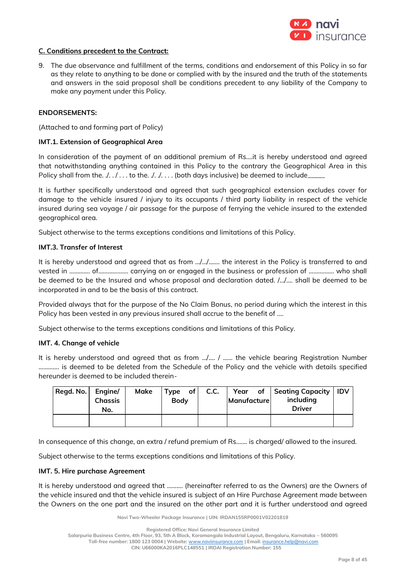

#### **C. Conditions precedent to the Contract:**

9. The due observance and fulfillment of the terms, conditions and endorsement of this Policy in so far as they relate to anything to be done or complied with by the insured and the truth of the statements and answers in the said proposal shall be conditions precedent to any liability of the Company to make any payment under this Policy.

#### **ENDORSEMENTS:**

(Attached to and forming part of Policy)

#### **IMT.1. Extension of Geographical Area**

In consideration of the payment of an additional premium of Rs….it is hereby understood and agreed that notwithstanding anything contained in this Policy to the contrary the Geographical Area in this Policy shall from the.  $\ldots$  ... to the.  $\ldots$  ... . (both days inclusive) be deemed to include

It is further specifically understood and agreed that such geographical extension excludes cover for damage to the vehicle insured / injury to its occupants / third party liability in respect of the vehicle insured during sea voyage / air passage for the purpose of ferrying the vehicle insured to the extended geographical area.

Subject otherwise to the terms exceptions conditions and limitations of this Policy.

#### **IMT.3. Transfer of Interest**

It is hereby understood and agreed that as from …/…/……. the interest in the Policy is transferred to and vested in ……….... of………………. carrying on or engaged in the business or profession of ……………. who shall be deemed to be the Insured and whose proposal and declaration dated. /…/…. shall be deemed to be incorporated in and to be the basis of this contract.

Provided always that for the purpose of the No Claim Bonus, no period during which the interest in this Policy has been vested in any previous insured shall accrue to the benefit of ....

Subject otherwise to the terms exceptions conditions and limitations of this Policy.

#### **IMT. 4. Change of vehicle**

It is hereby understood and agreed that as from …/…. / …... the vehicle bearing Registration Number …………. is deemed to be deleted from the Schedule of the Policy and the vehicle with details specified hereunder is deemed to be included therein-

| Regd. No. | Engine/<br><b>Chassis</b><br>No. | Make | $Type$ of<br><b>Body</b> | C.C. | <b>Manufacture</b> | Year of Seating Capacity<br>including<br><b>Driver</b> | <b>IDV</b> |
|-----------|----------------------------------|------|--------------------------|------|--------------------|--------------------------------------------------------|------------|
|           |                                  |      |                          |      |                    |                                                        |            |

In consequence of this change, an extra / refund premium of Rs....... is charged/ allowed to the insured.

Subject otherwise to the terms exceptions conditions and limitations of this Policy.

#### **IMT. 5. Hire purchase Agreement**

It is hereby understood and agreed that ………. (hereinafter referred to as the Owners) are the Owners of the vehicle insured and that the vehicle insured is subject of an Hire Purchase Agreement made between the Owners on the one part and the insured on the other part and it is further understood and agreed

**Navi Two-Wheeler Package Insurance | UIN: IRDAN155RP0001V02201819**

**Salarpuria Business Centre, 4th Floor, 93, 5th A Block, Koramangala Industrial Layout, Bengaluru, Karnataka – 560095**

**Toll-free number: 1800 123 0004 | Website:** [www.naviinsurance.com](http://www.naviinsurance.com/) **| Email:** [insurance.help@navi.com](mailto:insurance.help@navi.com)

**Registered Office: Navi General Insurance Limited**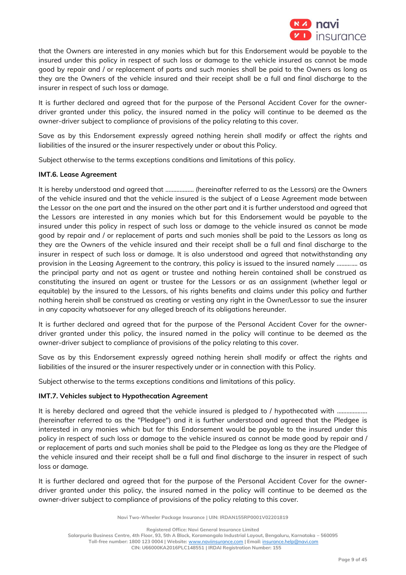

that the Owners are interested in any monies which but for this Endorsement would be payable to the insured under this policy in respect of such loss or damage to the vehicle insured as cannot be made good by repair and / or replacement of parts and such monies shall be paid to the Owners as long as they are the Owners of the vehicle insured and their receipt shall be a full and final discharge to the insurer in respect of such loss or damage.

It is further declared and agreed that for the purpose of the Personal Accident Cover for the ownerdriver granted under this policy, the insured named in the policy will continue to be deemed as the owner-driver subject to compliance of provisions of the policy relating to this cover.

Save as by this Endorsement expressly agreed nothing herein shall modify or affect the rights and liabilities of the insured or the insurer respectively under or about this Policy.

Subject otherwise to the terms exceptions conditions and limitations of this policy.

## **IMT.6. Lease Agreement**

It is hereby understood and agreed that ……………… (hereinafter referred to as the Lessors) are the Owners of the vehicle insured and that the vehicle insured is the subject of a Lease Agreement made between the Lessor on the one part and the insured on the other part and it is further understood and agreed that the Lessors are interested in any monies which but for this Endorsement would be payable to the insured under this policy in respect of such loss or damage to the vehicle insured as cannot be made good by repair and / or replacement of parts and such monies shall be paid to the Lessors as long as they are the Owners of the vehicle insured and their receipt shall be a full and final discharge to the insurer in respect of such loss or damage. It is also understood and agreed that notwithstanding any provision in the Leasing Agreement to the contrary, this policy is issued to the insured namely …………. as the principal party and not as agent or trustee and nothing herein contained shall be construed as constituting the insured an agent or trustee for the Lessors or as an assignment (whether legal or equitable) by the insured to the Lessors, of his rights benefits and claims under this policy and further nothing herein shall be construed as creating or vesting any right in the Owner/Lessor to sue the insurer in any capacity whatsoever for any alleged breach of its obligations hereunder.

It is further declared and agreed that for the purpose of the Personal Accident Cover for the ownerdriver granted under this policy, the insured named in the policy will continue to be deemed as the owner-driver subject to compliance of provisions of the policy relating to this cover.

Save as by this Endorsement expressly agreed nothing herein shall modify or affect the rights and liabilities of the insured or the insurer respectively under or in connection with this Policy.

Subject otherwise to the terms exceptions conditions and limitations of this policy.

## **IMT.7. Vehicles subject to Hypothecation Agreement**

It is hereby declared and agreed that the vehicle insured is pledged to / hypothecated with .................. (hereinafter referred to as the "Pledgee") and it is further understood and agreed that the Pledgee is interested in any monies which but for this Endorsement would be payable to the insured under this policy in respect of such loss or damage to the vehicle insured as cannot be made good by repair and / or replacement of parts and such monies shall be paid to the Pledgee as long as they are the Pledgee of the vehicle insured and their receipt shall be a full and final discharge to the insurer in respect of such loss or damage.

It is further declared and agreed that for the purpose of the Personal Accident Cover for the ownerdriver granted under this policy, the insured named in the policy will continue to be deemed as the owner-driver subject to compliance of provisions of the policy relating to this cover.

**Navi Two-Wheeler Package Insurance | UIN: IRDAN155RP0001V02201819**

**Registered Office: Navi General Insurance Limited**

**Salarpuria Business Centre, 4th Floor, 93, 5th A Block, Koramangala Industrial Layout, Bengaluru, Karnataka – 560095**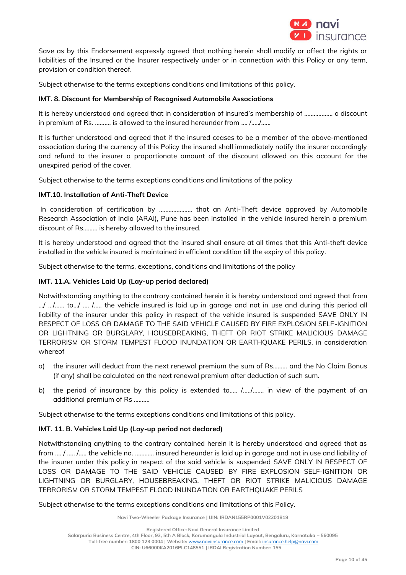

Save as by this Endorsement expressly agreed that nothing herein shall modify or affect the rights or liabilities of the Insured or the Insurer respectively under or in connection with this Policy or any term, provision or condition thereof.

Subject otherwise to the terms exceptions conditions and limitations of this policy.

# **IMT. 8. Discount for Membership of Recognised Automobile Associations**

It is hereby understood and agreed that in consideration of insured's membership of ……………… a discount in premium of Rs. ………. is allowed to the insured hereunder from …. /…../…...

It is further understood and agreed that if the insured ceases to be a member of the above-mentioned association during the currency of this Policy the insured shall immediately notify the insurer accordingly and refund to the insurer a proportionate amount of the discount allowed on this account for the unexpired period of the cover.

Subject otherwise to the terms exceptions conditions and limitations of the policy

# **IMT.10. Installation of Anti-Theft Device**

In consideration of certification by ………………… that an Anti-Theft device approved by Automobile Research Association of India (ARAI), Pune has been installed in the vehicle insured herein a premium discount of Rs……… is hereby allowed to the insured.

It is hereby understood and agreed that the insured shall ensure at all times that this Anti-theft device installed in the vehicle insured is maintained in efficient condition till the expiry of this policy.

Subject otherwise to the terms, exceptions, conditions and limitations of the policy

# **IMT. 11.A. Vehicles Laid Up (Lay-up period declared)**

Notwithstanding anything to the contrary contained herein it is hereby understood and agreed that from …/ …/…... to…/ …. /….. the vehicle insured is laid up in garage and not in use and during this period all liability of the insurer under this policy in respect of the vehicle insured is suspended SAVE ONLY IN RESPECT OF LOSS OR DAMAGE TO THE SAID VEHICLE CAUSED BY FIRE EXPLOSION SELF-IGNITION OR LIGHTNING OR BURGLARY, HOUSEBREAKING, THEFT OR RIOT STRIKE MALICIOUS DAMAGE TERRORISM OR STORM TEMPEST FLOOD INUNDATION OR EARTHQUAKE PERILS, in consideration whereof

- a) the insurer will deduct from the next renewal premium the sum of Rs……… and the No Claim Bonus (if any) shall be calculated on the next renewal premium after deduction of such sum.
- b) the period of insurance by this policy is extended to..... /...../....... in view of the payment of an additional premium of Rs ……….

Subject otherwise to the terms exceptions conditions and limitations of this policy.

# **IMT. 11. B. Vehicles Laid Up (Lay-up period not declared)**

Notwithstanding anything to the contrary contained herein it is hereby understood and agreed that as from …. / ….. /….. the vehicle no. ………… insured hereunder is laid up in garage and not in use and liability of the insurer under this policy in respect of the said vehicle is suspended SAVE ONLY IN RESPECT OF LOSS OR DAMAGE TO THE SAID VEHICLE CAUSED BY FIRE EXPLOSION SELF-IGNITION OR LIGHTNING OR BURGLARY, HOUSEBREAKING, THEFT OR RIOT STRIKE MALICIOUS DAMAGE TERRORISM OR STORM TEMPEST FLOOD INUNDATION OR EARTHQUAKE PERILS

Subject otherwise to the terms exceptions conditions and limitations of this Policy.

**Navi Two-Wheeler Package Insurance | UIN: IRDAN155RP0001V02201819**

**Salarpuria Business Centre, 4th Floor, 93, 5th A Block, Koramangala Industrial Layout, Bengaluru, Karnataka – 560095**

**Registered Office: Navi General Insurance Limited**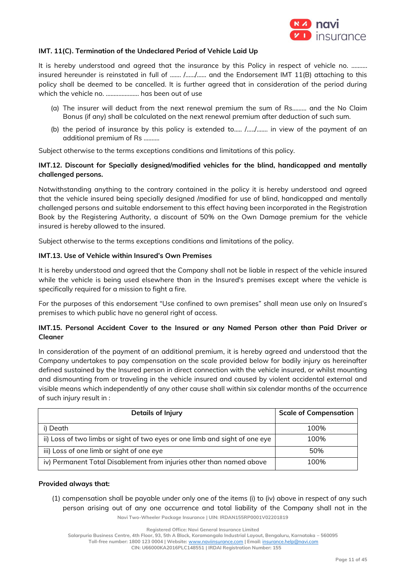

## **IMT. 11(C). Termination of the Undeclared Period of Vehicle Laid Up**

It is hereby understood and agreed that the insurance by this Policy in respect of vehicle no. .......... insured hereunder is reinstated in full of ……. /……/…… and the Endorsement IMT 11(B) attaching to this policy shall be deemed to be cancelled. It is further agreed that in consideration of the period during which the vehicle no. ..………………. has been out of use

- (a) The insurer will deduct from the next renewal premium the sum of Rs……… and the No Claim Bonus (if any) shall be calculated on the next renewal premium after deduction of such sum.
- (b) the period of insurance by this policy is extended to.…. /…../……. in view of the payment of an additional premium of Rs ……….

Subject otherwise to the terms exceptions conditions and limitations of this policy.

# **IMT.12. Discount for Specially designed/modified vehicles for the blind, handicapped and mentally challenged persons.**

Notwithstanding anything to the contrary contained in the policy it is hereby understood and agreed that the vehicle insured being specially designed /modified for use of blind, handicapped and mentally challenged persons and suitable endorsement to this effect having been incorporated in the Registration Book by the Registering Authority, a discount of 50% on the Own Damage premium for the vehicle insured is hereby allowed to the insured.

Subject otherwise to the terms exceptions conditions and limitations of the policy.

#### **IMT.13. Use of Vehicle within Insured's Own Premises**

It is hereby understood and agreed that the Company shall not be liable in respect of the vehicle insured while the vehicle is being used elsewhere than in the Insured's premises except where the vehicle is specifically required for a mission to fight a fire.

For the purposes of this endorsement "Use confined to own premises" shall mean use only on Insured's premises to which public have no general right of access.

## **IMT.15. Personal Accident Cover to the Insured or any Named Person other than Paid Driver or Cleaner**

In consideration of the payment of an additional premium, it is hereby agreed and understood that the Company undertakes to pay compensation on the scale provided below for bodily injury as hereinafter defined sustained by the Insured person in direct connection with the vehicle insured, or whilst mounting and dismounting from or traveling in the vehicle insured and caused by violent accidental external and visible means which independently of any other cause shall within six calendar months of the occurrence of such injury result in :

| Details of Injury                                                           | <b>Scale of Compensation</b> |
|-----------------------------------------------------------------------------|------------------------------|
| i) Death                                                                    | 100%                         |
| ii) Loss of two limbs or sight of two eyes or one limb and sight of one eye | 100%                         |
| iii) Loss of one limb or sight of one eye                                   | 50%                          |
| iv) Permanent Total Disablement from injuries other than named above        | 100%                         |

#### **Provided always that:**

**Navi Two-Wheeler Package Insurance | UIN: IRDAN155RP0001V02201819** (1) compensation shall be payable under only one of the items (i) to (iv) above in respect of any such person arising out of any one occurrence and total liability of the Company shall not in the

**Registered Office: Navi General Insurance Limited**

**Salarpuria Business Centre, 4th Floor, 93, 5th A Block, Koramangala Industrial Layout, Bengaluru, Karnataka – 560095**

**Toll-free number: 1800 123 0004 | Website:** [www.naviinsurance.com](http://www.naviinsurance.com/) **| Email:** [insurance.help@navi.com](mailto:insurance.help@navi.com)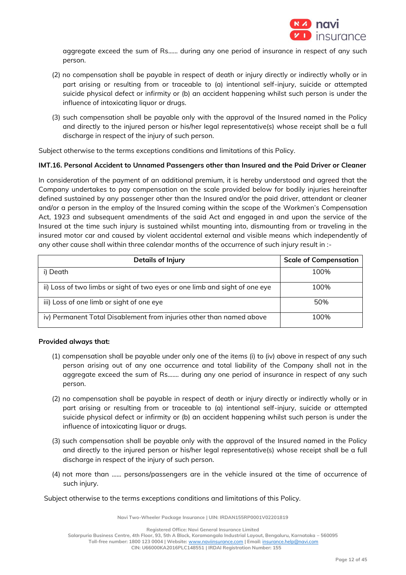

aggregate exceed the sum of Rs...... during any one period of insurance in respect of any such person.

- (2) no compensation shall be payable in respect of death or injury directly or indirectly wholly or in part arising or resulting from or traceable to (a) intentional self-injury, suicide or attempted suicide physical defect or infirmity or (b) an accident happening whilst such person is under the influence of intoxicating liquor or drugs.
- (3) such compensation shall be payable only with the approval of the Insured named in the Policy and directly to the injured person or his/her legal representative(s) whose receipt shall be a full discharge in respect of the injury of such person.

Subject otherwise to the terms exceptions conditions and limitations of this Policy.

# **IMT.16. Personal Accident to Unnamed Passengers other than Insured and the Paid Driver or Cleaner**

In consideration of the payment of an additional premium, it is hereby understood and agreed that the Company undertakes to pay compensation on the scale provided below for bodily injuries hereinafter defined sustained by any passenger other than the Insured and/or the paid driver, attendant or cleaner and/or a person in the employ of the Insured coming within the scope of the Workmen's Compensation Act, 1923 and subsequent amendments of the said Act and engaged in and upon the service of the Insured at the time such injury is sustained whilst mounting into, dismounting from or traveling in the insured motor car and caused by violent accidental external and visible means which independently of any other cause shall within three calendar months of the occurrence of such injury result in :-

| Details of Injury                                                           | <b>Scale of Compensation</b> |
|-----------------------------------------------------------------------------|------------------------------|
| i) Death                                                                    | 100%                         |
| ii) Loss of two limbs or sight of two eyes or one limb and sight of one eye | 100%                         |
| iii) Loss of one limb or sight of one eye                                   | 50%                          |
| iv) Permanent Total Disablement from injuries other than named above        | 100%                         |

## **Provided always that:**

- (1) compensation shall be payable under only one of the items (i) to (iv) above in respect of any such person arising out of any one occurrence and total liability of the Company shall not in the aggregate exceed the sum of Rs....... during any one period of insurance in respect of any such person.
- (2) no compensation shall be payable in respect of death or injury directly or indirectly wholly or in part arising or resulting from or traceable to (a) intentional self-injury, suicide or attempted suicide physical defect or infirmity or (b) an accident happening whilst such person is under the influence of intoxicating liquor or drugs.
- (3) such compensation shall be payable only with the approval of the Insured named in the Policy and directly to the injured person or his/her legal representative(s) whose receipt shall be a full discharge in respect of the injury of such person.
- (4) not more than …... persons/passengers are in the vehicle insured at the time of occurrence of such injury.

## Subject otherwise to the terms exceptions conditions and limitations of this Policy.

**Navi Two-Wheeler Package Insurance | UIN: IRDAN155RP0001V02201819**

**Registered Office: Navi General Insurance Limited**

**Salarpuria Business Centre, 4th Floor, 93, 5th A Block, Koramangala Industrial Layout, Bengaluru, Karnataka – 560095**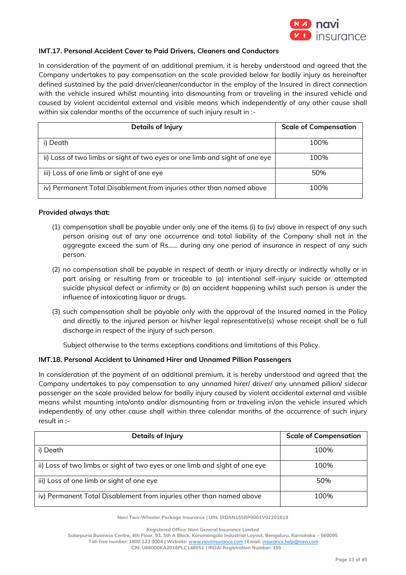

## **IMT.17. Personal Accident Cover to Paid Drivers, Cleaners and Conductors**

In consideration of the payment of an additional premium, it is hereby understood and agreed that the Company undertakes to pay compensation on the scale provided below for bodily injury as hereinafter defined sustained by the paid driver/cleaner/conductor in the employ of the Insured in direct connection with the vehicle insured whilst mounting into dismounting from or traveling in the insured vehicle and caused by violent accidental external and visible means which independently of any other cause shall within six calendar months of the occurrence of such injury result in :-

| <b>Details of Injury</b>                                                    | <b>Scale of Compensation</b> |
|-----------------------------------------------------------------------------|------------------------------|
| i) Death                                                                    | 100%                         |
| ii) Loss of two limbs or sight of two eyes or one limb and sight of one eye | 100%                         |
| iii) Loss of one limb or sight of one eye                                   | 50%                          |
| iv) Permanent Total Disablement from injuries other than named above        | 100%                         |

#### **Provided always that:**

- (1) compensation shall be payable under only one of the items (i) to (iv) above in respect of any such person arising out of any one occurrence and total liability of the Company shall not in the aggregate exceed the sum of Rs...... during any one period of insurance in respect of any such person.
- (2) no compensation shall be payable in respect of death or injury directly or indirectly wholly or in part arising or resulting from or traceable to (a) intentional self-injury suicide or attempted suicide physical defect or infirmity or (b) an accident happening whilst such person is under the influence of intoxicating liquor or drugs.
- (3) such compensation shall be payable only with the approval of the Insured named in the Policy and directly to the injured person or his/her legal representative(s) whose receipt shall be a full discharge in respect of the injury of such person.

Subject otherwise to the terms exceptions conditions and limitations of this Policy.

## **IMT.18. Personal Accident to Unnamed Hirer and Unnamed Pillion Passengers**

In consideration of the payment of an additional premium, it is hereby understood and agreed that the Company undertakes to pay compensation to any unnamed hirer/ driver/ any unnamed pillion/ sidecar passenger on the scale provided below for bodily injury caused by violent accidental external and visible means whilst mounting into/onto and/or dismounting from or traveling in/on the vehicle insured which independently of any other cause shall within three calendar months of the occurrence of such injury result in :-

| <b>Details of Injury</b>                                                    | <b>Scale of Compensation</b> |
|-----------------------------------------------------------------------------|------------------------------|
| i) Death                                                                    | 100%                         |
| ii) Loss of two limbs or sight of two eyes or one limb and sight of one eye | 100%                         |
| iii) Loss of one limb or sight of one eye                                   | 50%                          |
| iv) Permanent Total Disablement from injuries other than named above        | 100%                         |

**Navi Two-Wheeler Package Insurance | UIN: IRDAN155RP0001V02201819**

**Registered Office: Navi General Insurance Limited**

**Salarpuria Business Centre, 4th Floor, 93, 5th A Block, Koramangala Industrial Layout, Bengaluru, Karnataka – 560095**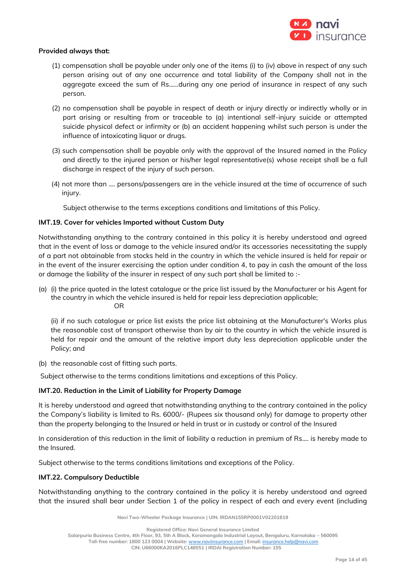

#### **Provided always that:**

- (1) compensation shall be payable under only one of the items (i) to (iv) above in respect of any such person arising out of any one occurrence and total liability of the Company shall not in the aggregate exceed the sum of Rs......during any one period of insurance in respect of any such person.
- (2) no compensation shall be payable in respect of death or injury directly or indirectly wholly or in part arising or resulting from or traceable to (a) intentional self-injury suicide or attempted suicide physical defect or infirmity or (b) an accident happening whilst such person is under the influence of intoxicating liquor or drugs.
- (3) such compensation shall be payable only with the approval of the Insured named in the Policy and directly to the injured person or his/her legal representative(s) whose receipt shall be a full discharge in respect of the injury of such person.
- (4) not more than …. persons/passengers are in the vehicle insured at the time of occurrence of such injury.

Subject otherwise to the terms exceptions conditions and limitations of this Policy.

## **IMT.19. Cover for vehicles Imported without Custom Duty**

Notwithstanding anything to the contrary contained in this policy it is hereby understood and agreed that in the event of loss or damage to the vehicle insured and/or its accessories necessitating the supply of a part not obtainable from stocks held in the country in which the vehicle insured is held for repair or in the event of the insurer exercising the option under condition 4, to pay in cash the amount of the loss or damage the liability of the insurer in respect of any such part shall be limited to :-

(a) (i) the price quoted in the latest catalogue or the price list issued by the Manufacturer or his Agent for the country in which the vehicle insured is held for repair less depreciation applicable; OR

(ii) if no such catalogue or price list exists the price list obtaining at the Manufacturer's Works plus the reasonable cost of transport otherwise than by air to the country in which the vehicle insured is held for repair and the amount of the relative import duty less depreciation applicable under the Policy; and

(b) the reasonable cost of fitting such parts.

Subject otherwise to the terms conditions limitations and exceptions of this Policy.

## **IMT.20. Reduction in the Limit of Liability for Property Damage**

It is hereby understood and agreed that notwithstanding anything to the contrary contained in the policy the Company's liability is limited to Rs. 6000/- (Rupees six thousand only) for damage to property other than the property belonging to the Insured or held in trust or in custody or control of the Insured

In consideration of this reduction in the limit of liability a reduction in premium of Rs…. is hereby made to the Insured.

Subject otherwise to the terms conditions limitations and exceptions of the Policy.

## **IMT.22. Compulsory Deductible**

Notwithstanding anything to the contrary contained in the policy it is hereby understood and agreed that the insured shall bear under Section 1 of the policy in respect of each and every event (including

**Navi Two-Wheeler Package Insurance | UIN: IRDAN155RP0001V02201819**

**Registered Office: Navi General Insurance Limited**

**Salarpuria Business Centre, 4th Floor, 93, 5th A Block, Koramangala Industrial Layout, Bengaluru, Karnataka – 560095**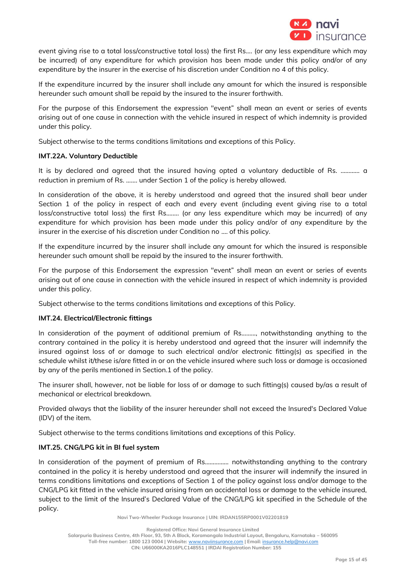

event giving rise to a total loss/constructive total loss) the first Rs.... (or any less expenditure which may be incurred) of any expenditure for which provision has been made under this policy and/or of any expenditure by the insurer in the exercise of his discretion under Condition no 4 of this policy.

If the expenditure incurred by the insurer shall include any amount for which the insured is responsible hereunder such amount shall be repaid by the insured to the insurer forthwith.

For the purpose of this Endorsement the expression "event" shall mean an event or series of events arising out of one cause in connection with the vehicle insured in respect of which indemnity is provided under this policy.

Subject otherwise to the terms conditions limitations and exceptions of this Policy.

#### **IMT.22A. Voluntary Deductible**

It is by declared and agreed that the insured having opted a voluntary deductible of Rs. ………… a reduction in premium of Rs. ……. under Section 1 of the policy is hereby allowed.

In consideration of the above, it is hereby understood and agreed that the insured shall bear under Section 1 of the policy in respect of each and every event (including event giving rise to a total loss/constructive total loss) the first Rs.……. (or any less expenditure which may be incurred) of any expenditure for which provision has been made under this policy and/or of any expenditure by the insurer in the exercise of his discretion under Condition no …. of this policy.

If the expenditure incurred by the insurer shall include any amount for which the insured is responsible hereunder such amount shall be repaid by the insured to the insurer forthwith.

For the purpose of this Endorsement the expression "event" shall mean an event or series of events arising out of one cause in connection with the vehicle insured in respect of which indemnity is provided under this policy.

Subject otherwise to the terms conditions limitations and exceptions of this Policy.

## **IMT.24. Electrical/Electronic fittings**

In consideration of the payment of additional premium of Rs………, notwithstanding anything to the contrary contained in the policy it is hereby understood and agreed that the insurer will indemnify the insured against loss of or damage to such electrical and/or electronic fitting(s) as specified in the schedule whilst it/these is/are fitted in or on the vehicle insured where such loss or damage is occasioned by any of the perils mentioned in Section.1 of the policy.

The insurer shall, however, not be liable for loss of or damage to such fitting(s) caused by/as a result of mechanical or electrical breakdown.

Provided always that the liability of the insurer hereunder shall not exceed the Insured's Declared Value (IDV) of the item.

Subject otherwise to the terms conditions limitations and exceptions of this Policy.

## **IMT.25. CNG/LPG kit in BI fuel system**

In consideration of the payment of premium of Rs................ notwithstanding anything to the contrary contained in the policy it is hereby understood and agreed that the insurer will indemnify the insured in terms conditions limitations and exceptions of Section 1 of the policy against loss and/or damage to the CNG/LPG kit fitted in the vehicle insured arising from an accidental loss or damage to the vehicle insured, subject to the limit of the Insured's Declared Value of the CNG/LPG kit specified in the Schedule of the policy.

**Navi Two-Wheeler Package Insurance | UIN: IRDAN155RP0001V02201819**

**Salarpuria Business Centre, 4th Floor, 93, 5th A Block, Koramangala Industrial Layout, Bengaluru, Karnataka – 560095**

**Toll-free number: 1800 123 0004 | Website:** [www.naviinsurance.com](http://www.naviinsurance.com/) **| Email:** [insurance.help@navi.com](mailto:insurance.help@navi.com)

**Registered Office: Navi General Insurance Limited**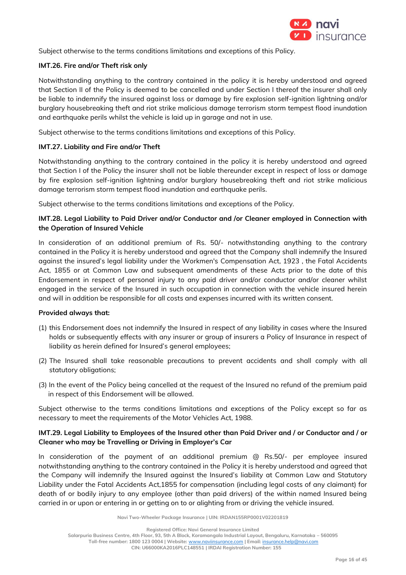

Subject otherwise to the terms conditions limitations and exceptions of this Policy.

# **IMT.26. Fire and/or Theft risk only**

Notwithstanding anything to the contrary contained in the policy it is hereby understood and agreed that Section II of the Policy is deemed to be cancelled and under Section I thereof the insurer shall only be liable to indemnify the insured against loss or damage by fire explosion self-ignition lightning and/or burglary housebreaking theft and riot strike malicious damage terrorism storm tempest flood inundation and earthquake perils whilst the vehicle is laid up in garage and not in use.

Subject otherwise to the terms conditions limitations and exceptions of this Policy.

# **IMT.27. Liability and Fire and/or Theft**

Notwithstanding anything to the contrary contained in the policy it is hereby understood and agreed that Section I of the Policy the insurer shall not be liable thereunder except in respect of loss or damage by fire explosion self-ignition lightning and/or burglary housebreaking theft and riot strike malicious damage terrorism storm tempest flood inundation and earthquake perils.

Subject otherwise to the terms conditions limitations and exceptions of the Policy.

# **IMT.28. Legal Liability to Paid Driver and/or Conductor and /or Cleaner employed in Connection with the Operation of Insured Vehicle**

In consideration of an additional premium of Rs. 50/- notwithstanding anything to the contrary contained in the Policy it is hereby understood and agreed that the Company shall indemnify the Insured against the insured's legal liability under the Workmen's Compensation Act, 1923 , the Fatal Accidents Act, 1855 or at Common Law and subsequent amendments of these Acts prior to the date of this Endorsement in respect of personal injury to any paid driver and/or conductor and/or cleaner whilst engaged in the service of the Insured in such occupation in connection with the vehicle insured herein and will in addition be responsible for all costs and expenses incurred with its written consent.

## **Provided always that:**

- (1) this Endorsement does not indemnify the Insured in respect of any liability in cases where the Insured holds or subsequently effects with any insurer or group of insurers a Policy of Insurance in respect of liability as herein defined for Insured's general employees;
- (2) The Insured shall take reasonable precautions to prevent accidents and shall comply with all statutory obligations;
- (3) In the event of the Policy being cancelled at the request of the Insured no refund of the premium paid in respect of this Endorsement will be allowed.

Subject otherwise to the terms conditions limitations and exceptions of the Policy except so far as necessary to meet the requirements of the Motor Vehicles Act, 1988.

# **IMT.29. Legal Liability to Employees of the Insured other than Paid Driver and / or Conductor and / or Cleaner who may be Travelling or Driving in Employer's Car**

In consideration of the payment of an additional premium @ Rs.50/- per employee insured notwithstanding anything to the contrary contained in the Policy it is hereby understood and agreed that the Company will indemnify the Insured against the Insured's liability at Common Law and Statutory Liability under the Fatal Accidents Act,1855 for compensation (including legal costs of any claimant) for death of or bodily injury to any employee (other than paid drivers) of the within named Insured being carried in or upon or entering in or getting on to or alighting from or driving the vehicle insured.

**Navi Two-Wheeler Package Insurance | UIN: IRDAN155RP0001V02201819**

**Salarpuria Business Centre, 4th Floor, 93, 5th A Block, Koramangala Industrial Layout, Bengaluru, Karnataka – 560095**

**Registered Office: Navi General Insurance Limited**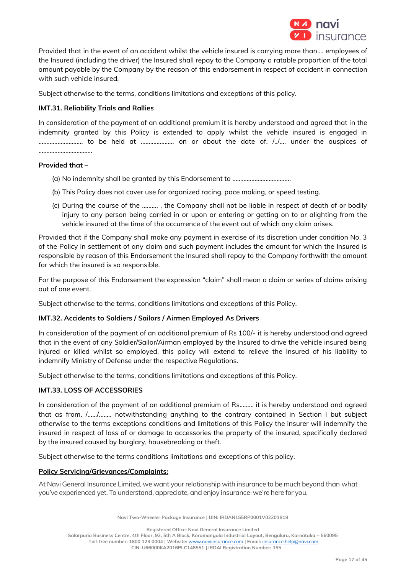

Provided that in the event of an accident whilst the vehicle insured is carrying more than.... employees of the Insured (including the driver) the Insured shall repay to the Company a ratable proportion of the total amount payable by the Company by the reason of this endorsement in respect of accident in connection with such vehicle insured.

Subject otherwise to the terms, conditions limitations and exceptions of this policy.

# **IMT.31. Reliability Trials and Rallies**

In consideration of the payment of an additional premium it is hereby understood and agreed that in the indemnity granted by this Policy is extended to apply whilst the vehicle insured is engaged in ………………………. to be held at ………………… on or about the date of. /../…. under the auspices of …………………………….

#### **Provided that –**

- (a) No indemnity shall be granted by this Endorsement to ……………………………….
- (b) This Policy does not cover use for organized racing, pace making, or speed testing.
- (c) During the course of the ………. , the Company shall not be liable in respect of death of or bodily injury to any person being carried in or upon or entering or getting on to or alighting from the vehicle insured at the time of the occurrence of the event out of which any claim arises.

Provided that if the Company shall make any payment in exercise of its discretion under condition No. 3 of the Policy in settlement of any claim and such payment includes the amount for which the Insured is responsible by reason of this Endorsement the Insured shall repay to the Company forthwith the amount for which the insured is so responsible.

For the purpose of this Endorsement the expression "claim" shall mean a claim or series of claims arising out of one event.

Subject otherwise to the terms, conditions limitations and exceptions of this Policy.

## **IMT.32. Accidents to Soldiers / Sailors / Airmen Employed As Drivers**

In consideration of the payment of an additional premium of Rs 100/- it is hereby understood and agreed that in the event of any Soldier/Sailor/Airman employed by the Insured to drive the vehicle insured being injured or killed whilst so employed, this policy will extend to relieve the Insured of his liability to indemnify Ministry of Defense under the respective Regulations.

Subject otherwise to the terms, conditions limitations and exceptions of this Policy.

## **IMT.33. LOSS OF ACCESSORIES**

In consideration of the payment of an additional premium of Rs......... it is hereby understood and agreed that as from. /….../…..... notwithstanding anything to the contrary contained in Section I but subject otherwise to the terms exceptions conditions and limitations of this Policy the insurer will indemnify the insured in respect of loss of or damage to accessories the property of the insured, specifically declared by the insured caused by burglary, housebreaking or theft.

Subject otherwise to the terms conditions limitations and exceptions of this policy.

## **Policy Servicing/Grievances/Complaints:**

At Navi General Insurance Limited, we want your relationship with insurance to be much beyond than what you've experienced yet. To understand, appreciate, and enjoy insurance-we're here for you.

**Navi Two-Wheeler Package Insurance | UIN: IRDAN155RP0001V02201819**

**Registered Office: Navi General Insurance Limited**

**Salarpuria Business Centre, 4th Floor, 93, 5th A Block, Koramangala Industrial Layout, Bengaluru, Karnataka – 560095**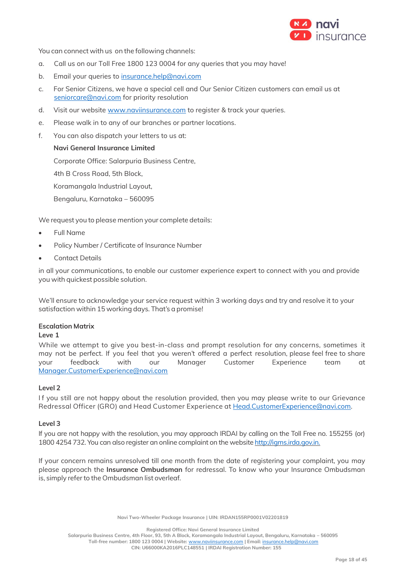

You can connect with us on the following channels:

- a. Call us on our Toll Free 1800 123 0004 for any queries that you may have!
- b. Email your queries to [insurance.help@navi.com](mailto:insurance.help@navi.com)
- c. For Senior Citizens, we have a special cell and Our Senior Citizen customers can email us at [seniorcare@navi.com](mailto:seniorcare@navi.com) for priority resolution
- d. Visit our website [www.naviinsurance.com](http://www.naviinsurance.com/) to register & track your queries.
- e. Please walk in to any of our branches or partner locations.
- f. You can also dispatch your letters to us at:

#### **Navi General Insurance Limited**

Corporate Office: Salarpuria Business Centre,

4th B Cross Road, 5th Block,

Koramangala Industrial Layout,

Bengaluru, Karnataka – 560095

We request you to please mention your complete details:

- Full Name
- Policy Number / Certificate of Insurance Number
- **Contact Details**

in all your communications, to enable our customer experience expert to connect with you and provide you with quickest possible solution.

We'll ensure to acknowledge your service request within 3 working days and try and resolve it to your satisfaction within 15 working days. That's a promise!

#### **Escalation Matrix**

#### **Leve 1**

While we attempt to give you best-in-class and prompt resolution for any concerns, sometimes it may not be perfect. If you feel that you weren't offered a perfect resolution, please feel free to share your feedback with our Manager Customer Experience team at Manager.CustomerExperience@navi.com

#### **Level 2**

If you still are not happy about the resolution provided, then you may please write to our Grievance Redressal Officer (GRO) and Head Customer Experience a[t Head.CustomerExperience@navi.com.](mailto:Head.CustomerExperience@cocogeneralinsurance.com)

#### **Level 3**

If you are not happy with the resolution, you may approach IRDAI by calling on the Toll Free no. 155255 (or) 1800 4254 732. You can also register an online complaint on the website [http://igms.irda.gov.in.](http://igms.irda.gov.in/)

If your concern remains unresolved till one month from the date of registering your complaint, you may please approach the **Insurance Ombudsman** for redressal. To know who your Insurance Ombudsman is, simply referto the Ombudsman list overleaf.

**Navi Two-Wheeler Package Insurance | UIN: IRDAN155RP0001V02201819**

**Registered Office: Navi General Insurance Limited**

**Salarpuria Business Centre, 4th Floor, 93, 5th A Block, Koramangala Industrial Layout, Bengaluru, Karnataka – 560095 Toll-free number: 1800 123 0004 | Website:** [www.naviinsurance.com](http://www.naviinsurance.com/) **| Email:** [insurance.help@navi.com](mailto:insurance.help@navi.com)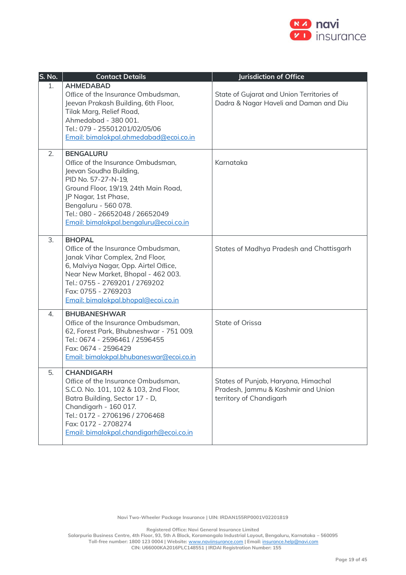

| S. No. | <b>Contact Details</b>                                                                                                                                                                                                                                                        | <b>Jurisdiction of Office</b>                                                                        |
|--------|-------------------------------------------------------------------------------------------------------------------------------------------------------------------------------------------------------------------------------------------------------------------------------|------------------------------------------------------------------------------------------------------|
| 1.     | <b>AHMEDABAD</b><br>Office of the Insurance Ombudsman,<br>Jeevan Prakash Building, 6th Floor,<br>Tilak Marg, Relief Road,<br>Ahmedabad - 380 001.<br>Tel.: 079 - 25501201/02/05/06<br>Email: bimalokpal.ahmedabad@ecoi.co.in                                                  | State of Gujarat and Union Territories of<br>Dadra & Nagar Haveli and Daman and Diu                  |
| 2.     | <b>BENGALURU</b><br>Office of the Insurance Ombudsman,<br>Jeevan Soudha Building,<br>PID No. 57-27-N-19,<br>Ground Floor, 19/19, 24th Main Road,<br>JP Nagar, 1st Phase,<br>Bengaluru - 560 078.<br>Tel.: 080 - 26652048 / 26652049<br>Email: bimalokpal.bengaluru@ecoi.co.in | Karnataka                                                                                            |
| 3.     | <b>BHOPAL</b><br>Office of the Insurance Ombudsman,<br>Janak Vihar Complex, 2nd Floor,<br>6, Malviya Nagar, Opp. Airtel Office,<br>Near New Market, Bhopal - 462 003.<br>Tel.: 0755 - 2769201 / 2769202<br>Fax: 0755 - 2769203<br>Email: bimalokpal.bhopal@ecoi.co.in         | States of Madhya Pradesh and Chattisgarh                                                             |
| 4.     | <b>BHUBANESHWAR</b><br>Office of the Insurance Ombudsman,<br>62, Forest Park, Bhubneshwar - 751 009.<br>Tel.: 0674 - 2596461 / 2596455<br>Fax: 0674 - 2596429<br>Email: bimalokpal.bhubaneswar@ecoi.co.in                                                                     | State of Orissa                                                                                      |
| 5.     | <b>CHANDIGARH</b><br>Office of the Insurance Ombudsman,<br>S.C.O. No. 101, 102 & 103, 2nd Floor,<br>Batra Building, Sector 17 - D,<br>Chandigarh - 160 017.<br>Tel.: 0172 - 2706196 / 2706468<br>Fax: 0172 - 2708274<br>Email: bimalokpal.chandigarh@ecoi.co.in               | States of Punjab, Haryana, Himachal<br>Pradesh, Jammu & Kashmir and Union<br>territory of Chandigarh |

**Navi Two-Wheeler Package Insurance | UIN: IRDAN155RP0001V02201819**

**Registered Office: Navi General Insurance Limited**

**Salarpuria Business Centre, 4th Floor, 93, 5th A Block, Koramangala Industrial Layout, Bengaluru, Karnataka – 560095 Toll-free number: 1800 123 0004 | Website:** [www.naviinsurance.com](http://www.naviinsurance.com/) **| Email:** [insurance.help@navi.com](mailto:insurance.help@navi.com)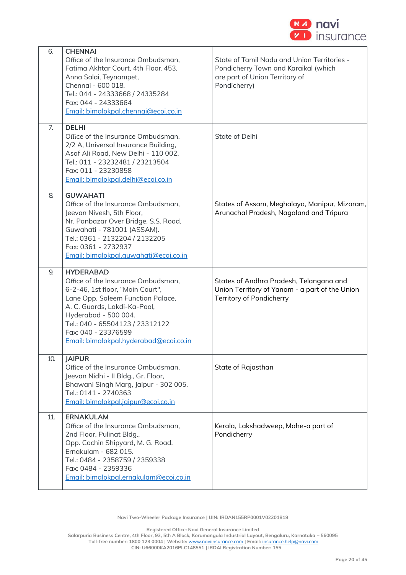

| 6.  | <b>CHENNAI</b><br>Office of the Insurance Ombudsman,                                            | State of Tamil Nadu and Union Territories -                                               |
|-----|-------------------------------------------------------------------------------------------------|-------------------------------------------------------------------------------------------|
|     | Fatima Akhtar Court, 4th Floor, 453,<br>Anna Salai, Teynampet,                                  | Pondicherry Town and Karaikal (which<br>are part of Union Territory of                    |
|     | Chennai - 600 018.<br>Tel.: 044 - 24333668 / 24335284                                           | Pondicherry)                                                                              |
|     | Fax: 044 - 24333664                                                                             |                                                                                           |
|     | Email: bimalokpal.chennai@ecoi.co.in                                                            |                                                                                           |
| 7.  | <b>DELHI</b><br>Office of the Insurance Ombudsman,                                              | State of Delhi                                                                            |
|     | 2/2 A, Universal Insurance Building,<br>Asaf Ali Road, New Delhi - 110 002.                     |                                                                                           |
|     | Tel.: 011 - 23232481 / 23213504                                                                 |                                                                                           |
|     | Fax: 011 - 23230858<br>Email: bimalokpal.delhi@ecoi.co.in                                       |                                                                                           |
| 8.  | <b>GUWAHATI</b>                                                                                 |                                                                                           |
|     | Office of the Insurance Ombudsman,                                                              | States of Assam, Meghalaya, Manipur, Mizoram,                                             |
|     | Jeevan Nivesh, 5th Floor,<br>Nr. Panbazar Over Bridge, S.S. Road,                               | Arunachal Pradesh, Nagaland and Tripura                                                   |
|     | Guwahati - 781001 (ASSAM).                                                                      |                                                                                           |
|     | Tel.: 0361 - 2132204 / 2132205<br>Fax: 0361 - 2732937                                           |                                                                                           |
|     | Email: bimalokpal.guwahati@ecoi.co.in                                                           |                                                                                           |
| 9.  | <b>HYDERABAD</b>                                                                                |                                                                                           |
|     |                                                                                                 |                                                                                           |
|     | Office of the Insurance Ombudsman,<br>6-2-46, 1st floor, "Moin Court",                          | States of Andhra Pradesh, Telangana and<br>Union Territory of Yanam - a part of the Union |
|     | Lane Opp. Saleem Function Palace,                                                               | Territory of Pondicherry                                                                  |
|     | A. C. Guards, Lakdi-Ka-Pool,<br>Hyderabad - 500 004.                                            |                                                                                           |
|     | Tel.: 040 - 65504123 / 23312122                                                                 |                                                                                           |
|     | Fax: 040 - 23376599<br>Email: bimalokpal.hyderabad@ecoi.co.in                                   |                                                                                           |
| 10. | <b>JAIPUR</b>                                                                                   |                                                                                           |
|     | Office of the Insurance Ombudsman,                                                              | State of Rajasthan                                                                        |
|     | Jeevan Nidhi - Il Bldg., Gr. Floor,<br>Bhawani Singh Marg, Jaipur - 302 005.                    |                                                                                           |
|     | Tel.: 0141 - 2740363                                                                            |                                                                                           |
|     | Email: bimalokpal.jaipur@ecoi.co.in                                                             |                                                                                           |
| 11. | <b>ERNAKULAM</b><br>Office of the Insurance Ombudsman,                                          | Kerala, Lakshadweep, Mahe-a part of                                                       |
|     | 2nd Floor, Pulinat Bldg.,<br>Opp. Cochin Shipyard, M. G. Road,                                  | Pondicherry                                                                               |
|     | Ernakulam - 682 015.                                                                            |                                                                                           |
|     | Tel.: 0484 - 2358759 / 2359338<br>Fax: 0484 - 2359336<br>Email: bimalokpal.ernakulam@ecoi.co.in |                                                                                           |

**Navi Two-Wheeler Package Insurance | UIN: IRDAN155RP0001V02201819**

**Registered Office: Navi General Insurance Limited**

**Salarpuria Business Centre, 4th Floor, 93, 5th A Block, Koramangala Industrial Layout, Bengaluru, Karnataka – 560095**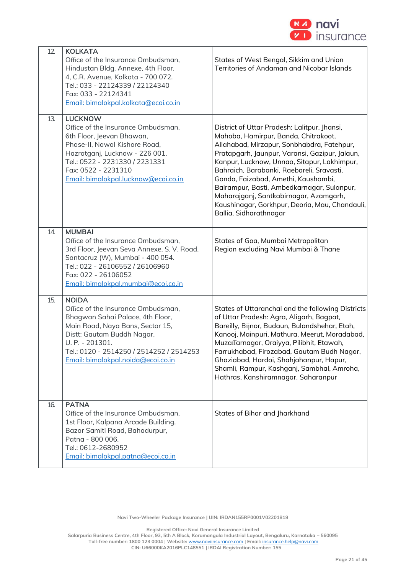

| 12. | <b>KOLKATA</b><br>Office of the Insurance Ombudsman,<br>Hindustan Bldg. Annexe, 4th Floor,<br>4, C.R. Avenue, Kolkata - 700 072.<br>Tel.: 033 - 22124339 / 22124340<br>Fax: 033 - 22124341<br>Email: bimalokpal.kolkata@ecoi.co.in                            | States of West Bengal, Sikkim and Union<br>Territories of Andaman and Nicobar Islands                                                                                                                                                                                                                                                                                                                                                                                                       |
|-----|---------------------------------------------------------------------------------------------------------------------------------------------------------------------------------------------------------------------------------------------------------------|---------------------------------------------------------------------------------------------------------------------------------------------------------------------------------------------------------------------------------------------------------------------------------------------------------------------------------------------------------------------------------------------------------------------------------------------------------------------------------------------|
| 13. | <b>LUCKNOW</b><br>Office of the Insurance Ombudsman,<br>6th Floor, Jeevan Bhawan,<br>Phase-II, Nawal Kishore Road,<br>Hazratganj, Lucknow - 226 001.<br>Tel.: 0522 - 2231330 / 2231331<br>Fax: 0522 - 2231310<br>Email: bimalokpal.lucknow@ecoi.co.in         | District of Uttar Pradesh: Lalitpur, Jhansi,<br>Mahoba, Hamirpur, Banda, Chitrakoot,<br>Allahabad, Mirzapur, Sonbhabdra, Fatehpur,<br>Pratapgarh, Jaunpur, Varansi, Gazipur, Jalaun,<br>Kanpur, Lucknow, Unnao, Sitapur, Lakhimpur,<br>Bahraich, Barabanki, Raebareli, Sravasti,<br>Gonda, Faizabad, Amethi, Kaushambi,<br>Balrampur, Basti, Ambedkarnagar, Sulanpur,<br>Maharajganj, Santkabirnagar, Azamgarh,<br>Kaushinagar, Gorkhpur, Deoria, Mau, Chandauli,<br>Ballia, Sidharathnagar |
| 14. | <b>MUMBAI</b><br>Office of the Insurance Ombudsman,<br>3rd Floor, Jeevan Seva Annexe, S. V. Road,<br>Santacruz (W), Mumbai - 400 054.<br>Tel.: 022 - 26106552 / 26106960<br>Fax: 022 - 26106052<br>Email: bimalokpal.mumbai@ecoi.co.in                        | States of Goa, Mumbai Metropolitan<br>Region excluding Navi Mumbai & Thane                                                                                                                                                                                                                                                                                                                                                                                                                  |
| 15. | <b>NOIDA</b><br>Office of the Insurance Ombudsman,<br>Bhagwan Sahai Palace, 4th Floor,<br>Main Road, Naya Bans, Sector 15,<br>Distt: Gautam Buddh Nagar,<br>U. P. - 201301.<br>Tel.: 0120 - 2514250 / 2514252 / 2514253<br>Email: bimalokpal.noida@ecoi.co.in | States of Uttaranchal and the following Districts<br>of Uttar Pradesh: Agra, Aligarh, Bagpat,<br>Bareilly, Bijnor, Budaun, Bulandshehar, Etah,<br>Kanooj, Mainpuri, Mathura, Meerut, Moradabad,<br>Muzaffarnagar, Oraiyya, Pilibhit, Etawah,<br>Farrukhabad, Firozabad, Gautam Budh Nagar,<br>Ghaziabad, Hardoi, Shahjahanpur, Hapur,<br>Shamli, Rampur, Kashganj, Sambhal, Amroha,<br>Hathras, Kanshiramnagar, Saharanpur                                                                  |
| 16. | <b>PATNA</b><br>Office of the Insurance Ombudsman,<br>1st Floor, Kalpana Arcade Building,<br>Bazar Samiti Road, Bahadurpur,<br>Patna - 800 006.<br>Tel.: 0612-2680952<br>Email: bimalokpal.patna@ecoi.co.in                                                   | States of Bihar and Jharkhand                                                                                                                                                                                                                                                                                                                                                                                                                                                               |

**Navi Two-Wheeler Package Insurance | UIN: IRDAN155RP0001V02201819**

**Registered Office: Navi General Insurance Limited**

**Salarpuria Business Centre, 4th Floor, 93, 5th A Block, Koramangala Industrial Layout, Bengaluru, Karnataka – 560095 Toll-free number: 1800 123 0004 | Website:** [www.naviinsurance.com](http://www.naviinsurance.com/) **| Email:** [insurance.help@navi.com](mailto:insurance.help@navi.com)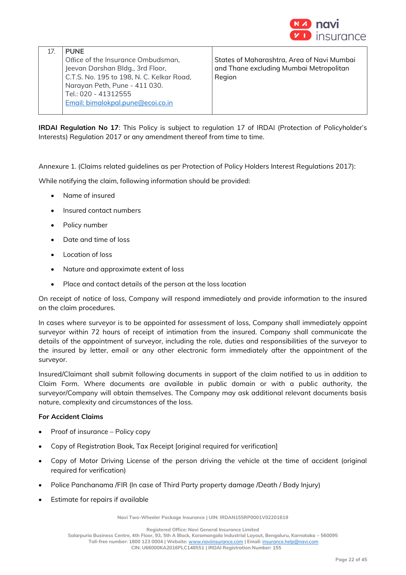

| <b>PUNF</b>                               |                                            |
|-------------------------------------------|--------------------------------------------|
| Office of the Insurance Ombudsman,        | States of Maharashtra, Area of Navi Mumbai |
| Jeevan Darshan Bldg., 3rd Floor,          | and Thane excluding Mumbai Metropolitan    |
| C.T.S. No. 195 to 198, N. C. Kelkar Road, | Region                                     |
| Narayan Peth, Pune - 411 030.             |                                            |
| Tel.: 020 - 41312555                      |                                            |
| Email: bimalokpal.pune@ecoi.co.in         |                                            |
|                                           |                                            |

**IRDAI Regulation No 17**: This Policy is subject to regulation 17 of IRDAI (Protection of Policyholder's Interests) Regulation 2017 or any amendment thereof from time to time.

Annexure 1. (Claims related guidelines as per Protection of Policy Holders Interest Regulations 2017):

While notifying the claim, following information should be provided:

- Name of insured
- Insured contact numbers
- Policy number
- Date and time of loss
- Location of loss
- Nature and approximate extent of loss
- Place and contact details of the person at the loss location

On receipt of notice of loss, Company will respond immediately and provide information to the insured on the claim procedures.

In cases where surveyor is to be appointed for assessment of loss, Company shall immediately appoint surveyor within 72 hours of receipt of intimation from the insured. Company shall communicate the details of the appointment of surveyor, including the role, duties and responsibilities of the surveyor to the insured by letter, email or any other electronic form immediately after the appointment of the surveyor.

Insured/Claimant shall submit following documents in support of the claim notified to us in addition to Claim Form. Where documents are available in public domain or with a public authority, the surveyor/Company will obtain themselves. The Company may ask additional relevant documents basis nature, complexity and circumstances of the loss.

## **For Accident Claims**

- Proof of insurance Policy copy
- Copy of Registration Book, Tax Receipt [original required for verification]
- Copy of Motor Driving License of the person driving the vehicle at the time of accident (original required for verification)
- Police Panchanama /FIR (In case of Third Party property damage /Death / Body Injury)
- Estimate for repairs if available

**Navi Two-Wheeler Package Insurance | UIN: IRDAN155RP0001V02201819**

**Registered Office: Navi General Insurance Limited**

**Salarpuria Business Centre, 4th Floor, 93, 5th A Block, Koramangala Industrial Layout, Bengaluru, Karnataka – 560095**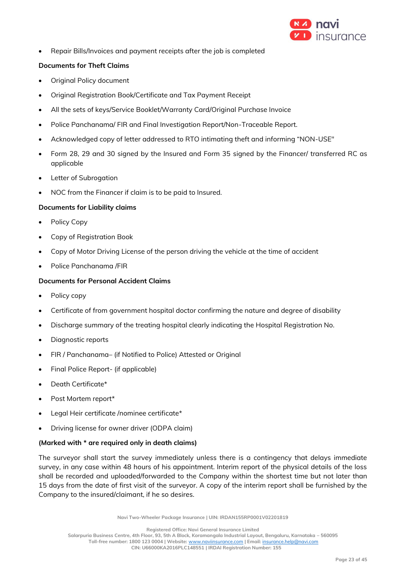

• Repair Bills/Invoices and payment receipts after the job is completed

## **Documents for Theft Claims**

- Original Policy document
- Original Registration Book/Certificate and Tax Payment Receipt
- All the sets of keys/Service Booklet/Warranty Card/Original Purchase Invoice
- Police Panchanama/ FIR and Final Investigation Report/Non-Traceable Report.
- Acknowledged copy of letter addressed to RTO intimating theft and informing "NON-USE"
- Form 28, 29 and 30 signed by the Insured and Form 35 signed by the Financer/ transferred RC as applicable
- **Letter of Subrogation**
- NOC from the Financer if claim is to be paid to Insured.

#### **Documents for Liability claims**

- Policy Copy
- Copy of Registration Book
- Copy of Motor Driving License of the person driving the vehicle at the time of accident
- Police Panchanama /FIR

#### **Documents for Personal Accident Claims**

- Policy copy
- Certificate of from government hospital doctor confirming the nature and degree of disability
- Discharge summary of the treating hospital clearly indicating the Hospital Registration No.
- Diagnostic reports
- FIR / Panchanama– (if Notified to Police) Attested or Original
- Final Police Report- (if applicable)
- Death Certificate\*
- Post Mortem report\*
- Legal Heir certificate /nominee certificate\*
- Driving license for owner driver (ODPA claim)

#### **(Marked with \* are required only in death claims)**

The surveyor shall start the survey immediately unless there is a contingency that delays immediate survey, in any case within 48 hours of his appointment. Interim report of the physical details of the loss shall be recorded and uploaded/forwarded to the Company within the shortest time but not later than 15 days from the date of first visit of the surveyor. A copy of the interim report shall be furnished by the Company to the insured/claimant, if he so desires.

**Navi Two-Wheeler Package Insurance | UIN: IRDAN155RP0001V02201819**

**Registered Office: Navi General Insurance Limited**

**Salarpuria Business Centre, 4th Floor, 93, 5th A Block, Koramangala Industrial Layout, Bengaluru, Karnataka – 560095 Toll-free number: 1800 123 0004 | Website:** [www.naviinsurance.com](http://www.naviinsurance.com/) **| Email:** [insurance.help@navi.com](mailto:insurance.help@navi.com)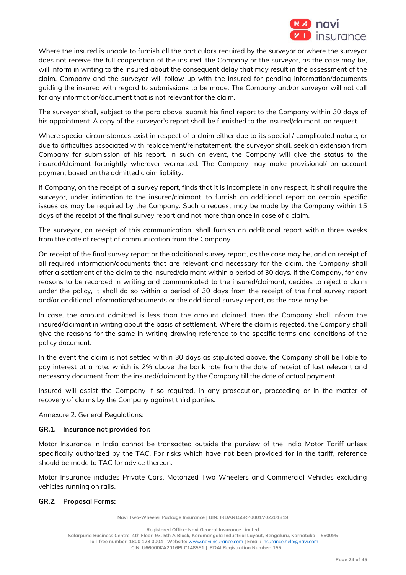

Where the insured is unable to furnish all the particulars required by the surveyor or where the surveyor does not receive the full cooperation of the insured, the Company or the surveyor, as the case may be, will inform in writing to the insured about the consequent delay that may result in the assessment of the claim. Company and the surveyor will follow up with the insured for pending information/documents guiding the insured with regard to submissions to be made. The Company and/or surveyor will not call for any information/document that is not relevant for the claim.

The surveyor shall, subject to the para above, submit his final report to the Company within 30 days of his appointment. A copy of the surveyor's report shall be furnished to the insured/claimant, on request.

Where special circumstances exist in respect of a claim either due to its special / complicated nature, or due to difficulties associated with replacement/reinstatement, the surveyor shall, seek an extension from Company for submission of his report. In such an event, the Company will give the status to the insured/claimant fortnightly wherever warranted. The Company may make provisional/ on account payment based on the admitted claim liability.

If Company, on the receipt of a survey report, finds that it is incomplete in any respect, it shall require the surveyor, under intimation to the insured/claimant, to furnish an additional report on certain specific issues as may be required by the Company. Such a request may be made by the Company within 15 days of the receipt of the final survey report and not more than once in case of a claim.

The surveyor, on receipt of this communication, shall furnish an additional report within three weeks from the date of receipt of communication from the Company.

On receipt of the final survey report or the additional survey report, as the case may be, and on receipt of all required information/documents that are relevant and necessary for the claim, the Company shall offer a settlement of the claim to the insured/claimant within a period of 30 days. If the Company, for any reasons to be recorded in writing and communicated to the insured/claimant, decides to reject a claim under the policy, it shall do so within a period of 30 days from the receipt of the final survey report and/or additional information/documents or the additional survey report, as the case may be.

In case, the amount admitted is less than the amount claimed, then the Company shall inform the insured/claimant in writing about the basis of settlement. Where the claim is rejected, the Company shall give the reasons for the same in writing drawing reference to the specific terms and conditions of the policy document.

In the event the claim is not settled within 30 days as stipulated above, the Company shall be liable to pay interest at a rate, which is 2% above the bank rate from the date of receipt of last relevant and necessary document from the insured/claimant by the Company till the date of actual payment.

Insured will assist the Company if so required, in any prosecution, proceeding or in the matter of recovery of claims by the Company against third parties.

Annexure 2. General Regulations:

## **GR.1. Insurance not provided for:**

Motor Insurance in India cannot be transacted outside the purview of the India Motor Tariff unless specifically authorized by the TAC. For risks which have not been provided for in the tariff, reference should be made to TAC for advice thereon.

Motor Insurance includes Private Cars, Motorized Two Wheelers and Commercial Vehicles excluding vehicles running on rails.

## **GR.2. Proposal Forms:**

**Navi Two-Wheeler Package Insurance | UIN: IRDAN155RP0001V02201819**

**Registered Office: Navi General Insurance Limited**

**Salarpuria Business Centre, 4th Floor, 93, 5th A Block, Koramangala Industrial Layout, Bengaluru, Karnataka – 560095**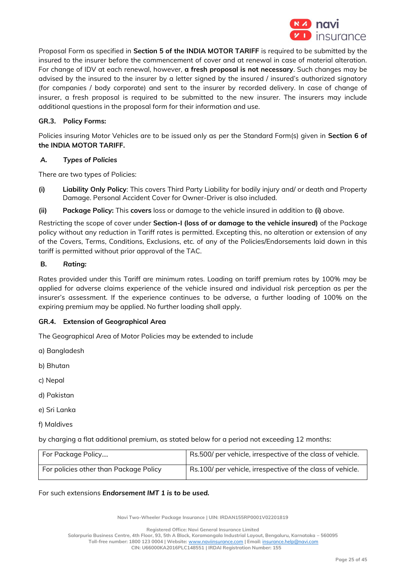

Proposal Form as specified in **Section 5 of the INDIA MOTOR TARIFF** is required to be submitted by the insured to the insurer before the commencement of cover and at renewal in case of material alteration. For change of IDV at each renewal, however, **a fresh proposal is not necessary**. Such changes may be advised by the insured to the insurer by a letter signed by the insured / insured's authorized signatory (for companies / body corporate) and sent to the insurer by recorded delivery. In case of change of insurer, a fresh proposal is required to be submitted to the new insurer. The insurers may include additional questions in the proposal form for their information and use.

## **GR.3. Policy Forms:**

Policies insuring Motor Vehicles are to be issued only as per the Standard Form(s) given in **Section 6 of the INDIA MOTOR TARIFF.**

## *A. Types of Policies*

There are two types of Policies:

- **(i) Liability Only Policy**: This covers Third Party Liability for bodily injury and/ or death and Property Damage. Personal Accident Cover for Owner-Driver is also included.
- **(ii) Package Policy:** This **covers** loss or damage to the vehicle insured in addition to **(i)** above.

Restricting the scope of cover under **Section-I (loss of or damage to the vehicle insured)** of the Package policy without any reduction in Tariff rates is permitted. Excepting this, no alteration or extension of any of the Covers, Terms, Conditions, Exclusions, etc. of any of the Policies/Endorsements laid down in this tariff is permitted without prior approval of the TAC.

## **B.** *Rating:*

Rates provided under this Tariff are minimum rates. Loading on tariff premium rates by 100% may be applied for adverse claims experience of the vehicle insured and individual risk perception as per the insurer's assessment. If the experience continues to be adverse, a further loading of 100% on the expiring premium may be applied. No further loading shall apply.

## **GR.4. Extension of Geographical Area**

The Geographical Area of Motor Policies may be extended to include

- a) Bangladesh
- b) Bhutan
- c) Nepal
- d) Pakistan
- e) Sri Lanka
- f) Maldives

by charging a flat additional premium, as stated below for a period not exceeding 12 months:

| For Package Policy                     | Rs.500/ per vehicle, irrespective of the class of vehicle. |
|----------------------------------------|------------------------------------------------------------|
| For policies other than Package Policy | Rs.100/ per vehicle, irrespective of the class of vehicle. |

For such extensions *Endorsement IMT 1 is to be used.*

**Navi Two-Wheeler Package Insurance | UIN: IRDAN155RP0001V02201819**

**Registered Office: Navi General Insurance Limited**

**Salarpuria Business Centre, 4th Floor, 93, 5th A Block, Koramangala Industrial Layout, Bengaluru, Karnataka – 560095**

**Toll-free number: 1800 123 0004 | Website:** [www.naviinsurance.com](http://www.naviinsurance.com/) **| Email:** [insurance.help@navi.com](mailto:insurance.help@navi.com)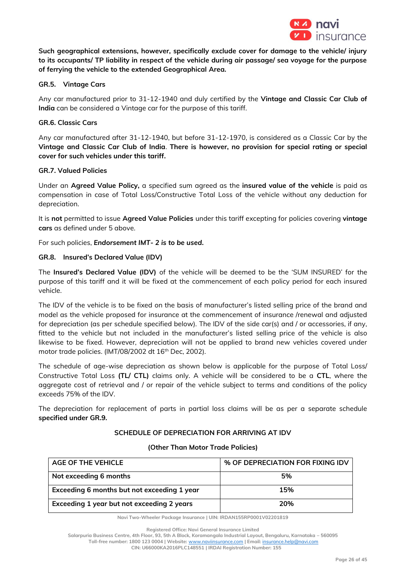

**Such geographical extensions, however, specifically exclude cover for damage to the vehicle/ injury to its occupants/ TP liability in respect of the vehicle during air passage/ sea voyage for the purpose of ferrying the vehicle to the extended Geographical Area.** 

## **GR.5. Vintage Cars**

Any car manufactured prior to 31-12-1940 and duly certified by the **Vintage and Classic Car Club of India** can be considered a Vintage car for the purpose of this tariff.

## **GR.6. Classic Cars**

Any car manufactured after 31-12-1940, but before 31-12-1970, is considered as a Classic Car by the **Vintage and Classic Car Club of India**. **There is however, no provision for special rating or special cover for such vehicles under this tariff.**

## **GR.7. Valued Policies**

Under an **Agreed Value Policy,** a specified sum agreed as the **insured value of the vehicle** is paid as compensation in case of Total Loss/Constructive Total Loss of the vehicle without any deduction for depreciation.

It is **not** permitted to issue **Agreed Value Policies** under this tariff excepting for policies covering **vintage cars** as defined under 5 above.

For such policies, *Endorsement IMT- 2 is to be used***.**

# **GR.8. Insured's Declared Value (IDV)**

The **Insured's Declared Value (IDV)** of the vehicle will be deemed to be the 'SUM INSURED' for the purpose of this tariff and it will be fixed at the commencement of each policy period for each insured vehicle.

The IDV of the vehicle is to be fixed on the basis of manufacturer's listed selling price of the brand and model as the vehicle proposed for insurance at the commencement of insurance /renewal and adjusted for depreciation (as per schedule specified below). The IDV of the side car(s) and / or accessories, if any, fitted to the vehicle but not included in the manufacturer's listed selling price of the vehicle is also likewise to be fixed. However, depreciation will not be applied to brand new vehicles covered under motor trade policies. (IMT/08/2002 dt 16<sup>th</sup> Dec, 2002).

The schedule of age-wise depreciation as shown below is applicable for the purpose of Total Loss/ Constructive Total Loss **(TL/ CTL)** claims only. A vehicle will be considered to be a **CTL**, where the aggregate cost of retrieval and / or repair of the vehicle subject to terms and conditions of the policy exceeds 75% of the IDV.

The depreciation for replacement of parts in partial loss claims will be as per a separate schedule **specified under GR.9.** 

## **SCHEDULE OF DEPRECIATION FOR ARRIVING AT IDV**

| AGE OF THE VEHICLE                          | % OF DEPRECIATION FOR FIXING IDV |
|---------------------------------------------|----------------------------------|
| Not exceeding 6 months                      | 5%                               |
| Exceeding 6 months but not exceeding 1 year | 15%                              |
| Exceeding 1 year but not exceeding 2 years  | 20%                              |

#### **(Other Than Motor Trade Policies)**

**Navi Two-Wheeler Package Insurance | UIN: IRDAN155RP0001V02201819**

**Registered Office: Navi General Insurance Limited**

**Salarpuria Business Centre, 4th Floor, 93, 5th A Block, Koramangala Industrial Layout, Bengaluru, Karnataka – 560095**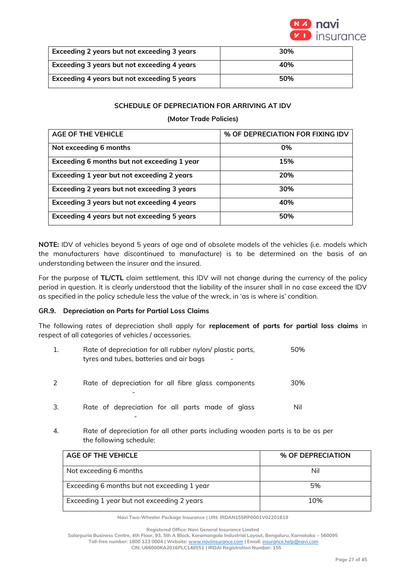

| Exceeding 2 years but not exceeding 3 years | 30% |
|---------------------------------------------|-----|
| Exceeding 3 years but not exceeding 4 years | 40% |
| Exceeding 4 years but not exceeding 5 years | 50% |

# **SCHEDULE OF DEPRECIATION FOR ARRIVING AT IDV**

## **(Motor Trade Policies)**

| <b>AGE OF THE VEHICLE</b>                   | % OF DEPRECIATION FOR FIXING IDV |
|---------------------------------------------|----------------------------------|
| Not exceeding 6 months                      | 0%                               |
| Exceeding 6 months but not exceeding 1 year | 15%                              |
| Exceeding 1 year but not exceeding 2 years  | 20%                              |
| Exceeding 2 years but not exceeding 3 years | 30%                              |
| Exceeding 3 years but not exceeding 4 years | 40%                              |
| Exceeding 4 years but not exceeding 5 years | 50%                              |

**NOTE:** IDV of vehicles beyond 5 years of age and of obsolete models of the vehicles (i.e. models which the manufacturers have discontinued to manufacture) is to be determined on the basis of an understanding between the insurer and the insured.

For the purpose of **TL/CTL** claim settlement, this IDV will not change during the currency of the policy period in question. It is clearly understood that the liability of the insurer shall in no case exceed the IDV as specified in the policy schedule less the value of the wreck, in 'as is where is' condition.

## **GR.9. Depreciation on Parts for Partial Loss Claims**

The following rates of depreciation shall apply for **replacement of parts for partial loss claims** in respect of all categories of vehicles / accessories.

|    | Rate of depreciation for all rubber nylon/ plastic parts,<br>tyres and tubes, batteries and air bags | 50% |
|----|------------------------------------------------------------------------------------------------------|-----|
|    | Rate of depreciation for all fibre glass components                                                  | 30% |
| 3. | Rate of depreciation for all parts made of glass                                                     | Nil |

4. Rate of depreciation for all other parts including wooden parts is to be as per the following schedule:

| <b>AGE OF THE VEHICLE</b>                   | % OF DEPRECIATION |
|---------------------------------------------|-------------------|
| Not exceeding 6 months                      | Nil               |
| Exceeding 6 months but not exceeding 1 year | 5%                |
| Exceeding 1 year but not exceeding 2 years  | 10%               |

**Navi Two-Wheeler Package Insurance | UIN: IRDAN155RP0001V02201819**

**Salarpuria Business Centre, 4th Floor, 93, 5th A Block, Koramangala Industrial Layout, Bengaluru, Karnataka – 560095 Toll-free number: 1800 123 0004 | Website:** [www.naviinsurance.com](http://www.naviinsurance.com/) **| Email:** [insurance.help@navi.com](mailto:insurance.help@navi.com)

**Registered Office: Navi General Insurance Limited**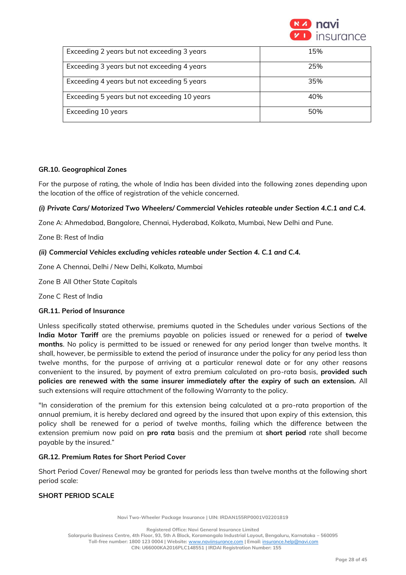

| Exceeding 2 years but not exceeding 3 years  | 15% |
|----------------------------------------------|-----|
| Exceeding 3 years but not exceeding 4 years  | 25% |
| Exceeding 4 years but not exceeding 5 years  | 35% |
| Exceeding 5 years but not exceeding 10 years | 40% |
| Exceeding 10 years                           | 50% |

## **GR.10. Geographical Zones**

For the purpose of rating, the whole of India has been divided into the following zones depending upon the location of the office of registration of the vehicle concerned.

## *(i) Private Cars/ Motorized Two Wheelers/ Commercial Vehicles rateable under Section 4.C.1 and C.4.*

Zone A: Ahmedabad, Bangalore, Chennai, Hyderabad, Kolkata, Mumbai, New Delhi and Pune.

Zone B: Rest of India

#### *(ii) Commercial Vehicles excluding vehicles rateable under Section 4. C.1 and C.4.*

Zone A Chennai, Delhi / New Delhi, Kolkata, Mumbai

Zone B All Other State Capitals

Zone C Rest of India

#### **GR.11. Period of Insurance**

Unless specifically stated otherwise, premiums quoted in the Schedules under various Sections of the **India Motor Tariff** are the premiums payable on policies issued or renewed for a period of **twelve months**. No policy is permitted to be issued or renewed for any period longer than twelve months. It shall, however, be permissible to extend the period of insurance under the policy for any period less than twelve months, for the purpose of arriving at a particular renewal date or for any other reasons convenient to the insured, by payment of extra premium calculated on pro-rata basis, **provided such policies are renewed with the same insurer immediately after the expiry of such an extension.** All such extensions will require attachment of the following Warranty to the policy.

"In consideration of the premium for this extension being calculated at a pro-rata proportion of the annual premium, it is hereby declared and agreed by the insured that upon expiry of this extension, this policy shall be renewed for a period of twelve months, failing which the difference between the extension premium now paid on **pro rata** basis and the premium at **short period** rate shall become payable by the insured."

## **GR.12. Premium Rates for Short Period Cover**

Short Period Cover/ Renewal may be granted for periods less than twelve months at the following short period scale:

## **SHORT PERIOD SCALE**

**Navi Two-Wheeler Package Insurance | UIN: IRDAN155RP0001V02201819**

**Registered Office: Navi General Insurance Limited**

**Salarpuria Business Centre, 4th Floor, 93, 5th A Block, Koramangala Industrial Layout, Bengaluru, Karnataka – 560095 Toll-free number: 1800 123 0004 | Website:** [www.naviinsurance.com](http://www.naviinsurance.com/) **| Email:** [insurance.help@navi.com](mailto:insurance.help@navi.com)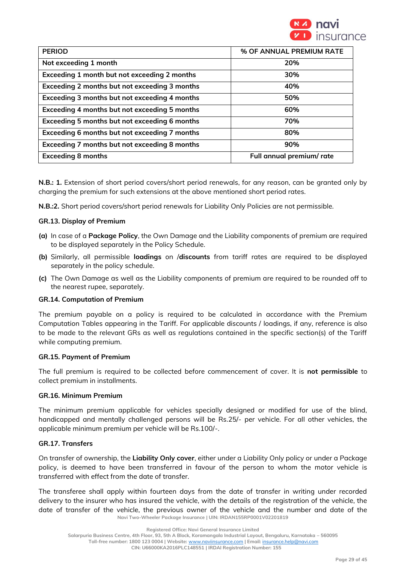

| <b>PERIOD</b>                                 | % OF ANNUAL PREMIUM RATE |
|-----------------------------------------------|--------------------------|
| Not exceeding 1 month                         | 20%                      |
| Exceeding 1 month but not exceeding 2 months  | 30%                      |
| Exceeding 2 months but not exceeding 3 months | 40%                      |
| Exceeding 3 months but not exceeding 4 months | 50%                      |
| Exceeding 4 months but not exceeding 5 months | 60%                      |
| Exceeding 5 months but not exceeding 6 months | 70%                      |
| Exceeding 6 months but not exceeding 7 months | 80%                      |
| Exceeding 7 months but not exceeding 8 months | 90%                      |
| <b>Exceeding 8 months</b>                     | Full annual premium/rate |

**N.B.: 1.** Extension of short period covers/short period renewals, for any reason, can be granted only by charging the premium for such extensions at the above mentioned short period rates.

**N.B.:2.** Short period covers/short period renewals for Liability Only Policies are not permissible.

#### **GR.13. Display of Premium**

- **(a)** In case of a **Package Policy**, the Own Damage and the Liability components of premium are required to be displayed separately in the Policy Schedule.
- **(b)** Similarly, all permissible **loadings** on /**discounts** from tariff rates are required to be displayed separately in the policy schedule.
- **(c)** The Own Damage as well as the Liability components of premium are required to be rounded off to the nearest rupee, separately.

## **GR.14. Computation of Premium**

The premium payable on a policy is required to be calculated in accordance with the Premium Computation Tables appearing in the Tariff. For applicable discounts / loadings, if any, reference is also to be made to the relevant GRs as well as regulations contained in the specific section(s) of the Tariff while computing premium.

#### **GR.15. Payment of Premium**

The full premium is required to be collected before commencement of cover. It is **not permissible** to collect premium in installments.

#### **GR.16. Minimum Premium**

The minimum premium applicable for vehicles specially designed or modified for use of the blind, handicapped and mentally challenged persons will be Rs.25/- per vehicle. For all other vehicles, the applicable minimum premium per vehicle will be Rs.100/-.

## **GR.17. Transfers**

On transfer of ownership, the **Liability Only cover**, either under a Liability Only policy or under a Package policy, is deemed to have been transferred in favour of the person to whom the motor vehicle is transferred with effect from the date of transfer.

**Navi Two-Wheeler Package Insurance | UIN: IRDAN155RP0001V02201819** The transferee shall apply within fourteen days from the date of transfer in writing under recorded delivery to the insurer who has insured the vehicle, with the details of the registration of the vehicle, the date of transfer of the vehicle, the previous owner of the vehicle and the number and date of the

**Salarpuria Business Centre, 4th Floor, 93, 5th A Block, Koramangala Industrial Layout, Bengaluru, Karnataka – 560095**

**Registered Office: Navi General Insurance Limited**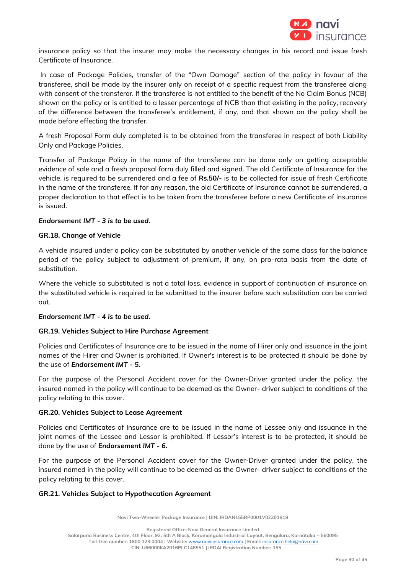

insurance policy so that the insurer may make the necessary changes in his record and issue fresh Certificate of Insurance.

In case of Package Policies, transfer of the "Own Damage" section of the policy in favour of the transferee, shall be made by the insurer only on receipt of a specific request from the transferee along with consent of the transferor. If the transferee is not entitled to the benefit of the No Claim Bonus (NCB) shown on the policy or is entitled to a lesser percentage of NCB than that existing in the policy, recovery of the difference between the transferee's entitlement, if any, and that shown on the policy shall be made before effecting the transfer.

A fresh Proposal Form duly completed is to be obtained from the transferee in respect of both Liability Only and Package Policies.

Transfer of Package Policy in the name of the transferee can be done only on getting acceptable evidence of sale and a fresh proposal form duly filled and signed. The old Certificate of Insurance for the vehicle, is required to be surrendered and a fee of **Rs.50/-** is to be collected for issue of fresh Certificate in the name of the transferee. If for any reason, the old Certificate of Insurance cannot be surrendered, a proper declaration to that effect is to be taken from the transferee before a new Certificate of Insurance is issued.

## *Endorsement IMT - 3 is to be used.*

#### **GR.18. Change of Vehicle**

A vehicle insured under a policy can be substituted by another vehicle of the same class for the balance period of the policy subject to adjustment of premium, if any, on pro-rata basis from the date of substitution.

Where the vehicle so substituted is not a total loss, evidence in support of continuation of insurance on the substituted vehicle is required to be submitted to the insurer before such substitution can be carried out.

## *Endorsement IMT - 4 is to be used.*

## **GR.19. Vehicles Subject to Hire Purchase Agreement**

Policies and Certificates of Insurance are to be issued in the name of Hirer only and issuance in the joint names of the Hirer and Owner is prohibited. If Owner's interest is to be protected it should be done by the use of *Endorsement IMT - 5.*

For the purpose of the Personal Accident cover for the Owner-Driver granted under the policy, the insured named in the policy will continue to be deemed as the Owner- driver subject to conditions of the policy relating to this cover.

#### **GR.20. Vehicles Subject to Lease Agreement**

Policies and Certificates of Insurance are to be issued in the name of Lessee only and issuance in the joint names of the Lessee and Lessor is prohibited. If Lessor's interest is to be protected, it should be done by the use of *Endorsement IMT - 6.*

For the purpose of the Personal Accident cover for the Owner-Driver granted under the policy, the insured named in the policy will continue to be deemed as the Owner- driver subject to conditions of the policy relating to this cover.

## **GR.21. Vehicles Subject to Hypothecation Agreement**

**Navi Two-Wheeler Package Insurance | UIN: IRDAN155RP0001V02201819**

**Registered Office: Navi General Insurance Limited**

**Salarpuria Business Centre, 4th Floor, 93, 5th A Block, Koramangala Industrial Layout, Bengaluru, Karnataka – 560095**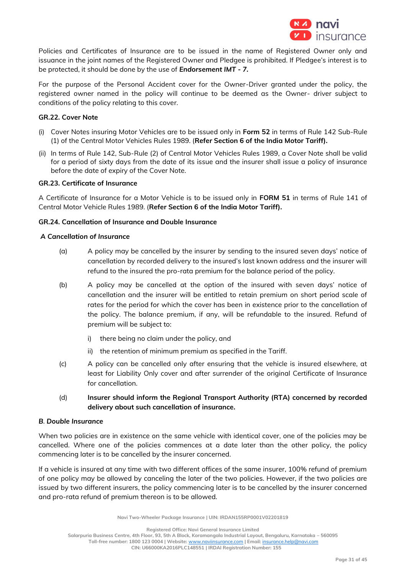

Policies and Certificates of Insurance are to be issued in the name of Registered Owner only and issuance in the joint names of the Registered Owner and Pledgee is prohibited. If Pledgee's interest is to be protected, it should be done by the use of *Endorsement IMT - 7.* 

For the purpose of the Personal Accident cover for the Owner-Driver granted under the policy, the registered owner named in the policy will continue to be deemed as the Owner- driver subject to conditions of the policy relating to this cover.

## **GR.22. Cover Note**

- (i) Cover Notes insuring Motor Vehicles are to be issued only in **Form 52** in terms of Rule 142 Sub-Rule (1) of the Central Motor Vehicles Rules 1989. (**Refer Section 6 of the India Motor Tariff).**
- (ii) In terms of Rule 142, Sub-Rule (2) of Central Motor Vehicles Rules 1989, a Cover Note shall be valid for a period of sixty days from the date of its issue and the insurer shall issue a policy of insurance before the date of expiry of the Cover Note.

## **GR.23. Certificate of Insurance**

A Certificate of Insurance for a Motor Vehicle is to be issued only in **FORM 51** in terms of Rule 141 of Central Motor Vehicle Rules 1989. (**Refer Section 6 of the India Motor Tariff).**

# **GR.24. Cancellation of Insurance and Double Insurance**

#### *A Cancellation of Insurance*

- (a) A policy may be cancelled by the insurer by sending to the insured seven days' notice of cancellation by recorded delivery to the insured's last known address and the insurer will refund to the insured the pro-rata premium for the balance period of the policy.
- (b) A policy may be cancelled at the option of the insured with seven days' notice of cancellation and the insurer will be entitled to retain premium on short period scale of rates for the period for which the cover has been in existence prior to the cancellation of the policy. The balance premium, if any, will be refundable to the insured. Refund of premium will be subject to:
	- i) there being no claim under the policy, and
	- ii) the retention of minimum premium as specified in the Tariff.
- (c) A policy can be cancelled only after ensuring that the vehicle is insured elsewhere, at least for Liability Only cover and after surrender of the original Certificate of Insurance for cancellation.
- (d) **Insurer should inform the Regional Transport Authority (RTA) concerned by recorded delivery about such cancellation of insurance.**

## *B. Double Insurance*

When two policies are in existence on the same vehicle with identical cover, one of the policies may be cancelled. Where one of the policies commences at a date later than the other policy, the policy commencing later is to be cancelled by the insurer concerned.

If a vehicle is insured at any time with two different offices of the same insurer, 100% refund of premium of one policy may be allowed by canceling the later of the two policies. However, if the two policies are issued by two different insurers, the policy commencing later is to be cancelled by the insurer concerned and pro-rata refund of premium thereon is to be allowed.

**Navi Two-Wheeler Package Insurance | UIN: IRDAN155RP0001V02201819**

**Registered Office: Navi General Insurance Limited**

**Salarpuria Business Centre, 4th Floor, 93, 5th A Block, Koramangala Industrial Layout, Bengaluru, Karnataka – 560095**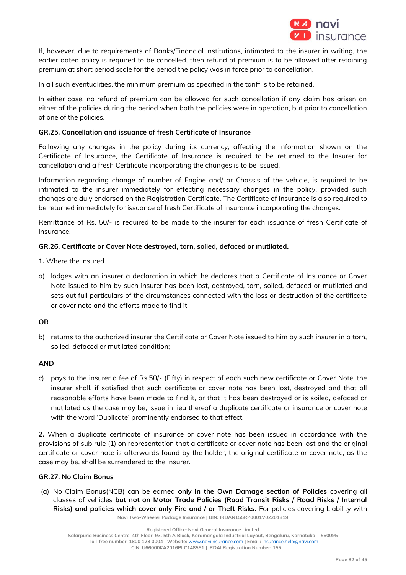

If, however, due to requirements of Banks/Financial Institutions, intimated to the insurer in writing, the earlier dated policy is required to be cancelled, then refund of premium is to be allowed after retaining premium at short period scale for the period the policy was in force prior to cancellation.

In all such eventualities, the minimum premium as specified in the tariff is to be retained.

In either case, no refund of premium can be allowed for such cancellation if any claim has arisen on either of the policies during the period when both the policies were in operation, but prior to cancellation of one of the policies.

## **GR.25. Cancellation and issuance of fresh Certificate of Insurance**

Following any changes in the policy during its currency, affecting the information shown on the Certificate of Insurance, the Certificate of Insurance is required to be returned to the Insurer for cancellation and a fresh Certificate incorporating the changes is to be issued.

Information regarding change of number of Engine and/ or Chassis of the vehicle, is required to be intimated to the insurer immediately for effecting necessary changes in the policy, provided such changes are duly endorsed on the Registration Certificate. The Certificate of Insurance is also required to be returned immediately for issuance of fresh Certificate of Insurance incorporating the changes.

Remittance of Rs. 50/- is required to be made to the insurer for each issuance of fresh Certificate of Insurance.

# **GR.26. Certificate or Cover Note destroyed, torn, soiled, defaced or mutilated.**

- **1.** Where the insured
- a) lodges with an insurer a declaration in which he declares that a Certificate of Insurance or Cover Note issued to him by such insurer has been lost, destroyed, torn, soiled, defaced or mutilated and sets out full particulars of the circumstances connected with the loss or destruction of the certificate or cover note and the efforts made to find it;

## **OR**

b) returns to the authorized insurer the Certificate or Cover Note issued to him by such insurer in a torn, soiled, defaced or mutilated condition;

## **AND**

c) pays to the insurer a fee of Rs.50/- (Fifty) in respect of each such new certificate or Cover Note, the insurer shall, if satisfied that such certificate or cover note has been lost, destroyed and that all reasonable efforts have been made to find it, or that it has been destroyed or is soiled, defaced or mutilated as the case may be, issue in lieu thereof a duplicate certificate or insurance or cover note with the word 'Duplicate' prominently endorsed to that effect.

**2.** When a duplicate certificate of insurance or cover note has been issued in accordance with the provisions of sub rule (1) on representation that a certificate or cover note has been lost and the original certificate or cover note is afterwards found by the holder, the original certificate or cover note, as the case may be, shall be surrendered to the insurer.

## **GR.27. No Claim Bonus**

(a) No Claim Bonus(NCB) can be earned **only in the Own Damage section of Policies** covering all classes of vehicles **but not on Motor Trade Policies (Road Transit Risks / Road Risks / Internal Risks) and policies which cover only Fire and / or Theft Risks.** For policies covering Liability with

**Navi Two-Wheeler Package Insurance | UIN: IRDAN155RP0001V02201819**

**Salarpuria Business Centre, 4th Floor, 93, 5th A Block, Koramangala Industrial Layout, Bengaluru, Karnataka – 560095**

**Registered Office: Navi General Insurance Limited**

**Toll-free number: 1800 123 0004 | Website:** [www.naviinsurance.com](http://www.naviinsurance.com/) **| Email:** [insurance.help@navi.com](mailto:insurance.help@navi.com) **CIN: U66000KA2016PLC148551 | IRDAI Registration Number: 155**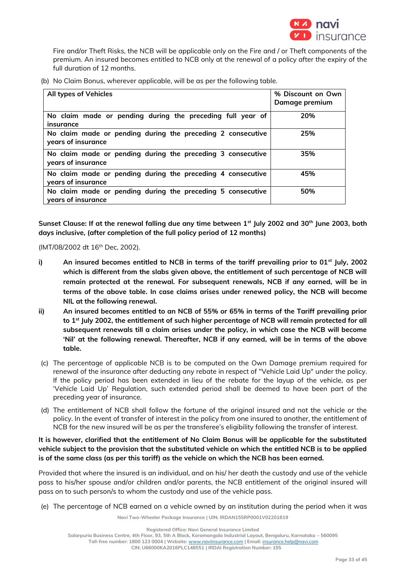

Fire and/or Theft Risks, the NCB will be applicable only on the Fire and / or Theft components of the premium. An insured becomes entitled to NCB only at the renewal of a policy after the expiry of the full duration of 12 months.

(b) No Claim Bonus, wherever applicable, will be as per the following table.

| <b>All types of Vehicles</b>                                                      | % Discount on Own<br>Damage premium |
|-----------------------------------------------------------------------------------|-------------------------------------|
| No claim made or pending during the preceding full year of<br>insurance           | 20%                                 |
| No claim made or pending during the preceding 2 consecutive<br>years of insurance | 25%                                 |
| No claim made or pending during the preceding 3 consecutive<br>years of insurance | 35%                                 |
| No claim made or pending during the preceding 4 consecutive<br>years of insurance | 45%                                 |
| No claim made or pending during the preceding 5 consecutive<br>years of insurance | 50%                                 |

**Sunset Clause: If at the renewal falling due any time between 1st July 2002 and 30th June 2003, both days inclusive, (after completion of the full policy period of 12 months)**

(IMT/08/2002 dt 16<sup>th</sup> Dec, 2002).

- **i) An insured becomes entitled to NCB in terms of the tariff prevailing prior to 01st July, 2002 which is different from the slabs given above, the entitlement of such percentage of NCB will remain protected at the renewal. For subsequent renewals, NCB if any earned, will be in terms of the above table. In case claims arises under renewed policy, the NCB will become NIL at the following renewal.**
- **ii) An insured becomes entitled to an NCB of 55% or 65% in terms of the Tariff prevailing prior to 1st July 2002, the entitlement of such higher percentage of NCB will remain protected for all subsequent renewals till a claim arises under the policy, in which case the NCB will become 'Nil' at the following renewal. Thereafter, NCB if any earned, will be in terms of the above table.**
- (c) The percentage of applicable NCB is to be computed on the Own Damage premium required for renewal of the insurance after deducting any rebate in respect of "Vehicle Laid Up" under the policy. If the policy period has been extended in lieu of the rebate for the layup of the vehicle, as per 'Vehicle Laid Up' Regulation, such extended period shall be deemed to have been part of the preceding year of insurance.
- (d) The entitlement of NCB shall follow the fortune of the original insured and not the vehicle or the policy. In the event of transfer of interest in the policy from one insured to another, the entitlement of NCB for the new insured will be as per the transferee's eligibility following the transfer of interest.

**It is however, clarified that the entitlement of No Claim Bonus will be applicable for the substituted vehicle subject to the provision that the substituted vehicle on which the entitled NCB is to be applied is of the same class (as per this tariff) as the vehicle on which the NCB has been earned.** 

Provided that where the insured is an individual, and on his/ her death the custody and use of the vehicle pass to his/her spouse and/or children and/or parents, the NCB entitlement of the original insured will pass on to such person/s to whom the custody and use of the vehicle pass.

(e) The percentage of NCB earned on a vehicle owned by an institution during the period when it was

**Navi Two-Wheeler Package Insurance | UIN: IRDAN155RP0001V02201819**

**Salarpuria Business Centre, 4th Floor, 93, 5th A Block, Koramangala Industrial Layout, Bengaluru, Karnataka – 560095**

**Toll-free number: 1800 123 0004 | Website:** [www.naviinsurance.com](http://www.naviinsurance.com/) **| Email:** [insurance.help@navi.com](mailto:insurance.help@navi.com)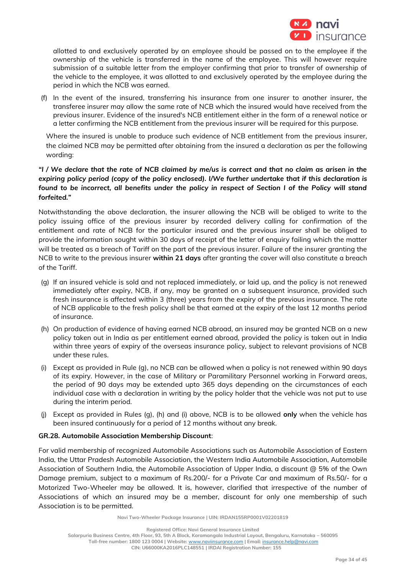

allotted to and exclusively operated by an employee should be passed on to the employee if the ownership of the vehicle is transferred in the name of the employee. This will however require submission of a suitable letter from the employer confirming that prior to transfer of ownership of the vehicle to the employee, it was allotted to and exclusively operated by the employee during the period in which the NCB was earned.

(f) In the event of the insured, transferring his insurance from one insurer to another insurer, the transferee insurer may allow the same rate of NCB which the insured would have received from the previous insurer. Evidence of the insured's NCB entitlement either in the form of a renewal notice or a letter confirming the NCB entitlement from the previous insurer will be required for this purpose.

Where the insured is unable to produce such evidence of NCB entitlement from the previous insurer, the claimed NCB may be permitted after obtaining from the insured a declaration as per the following wording:

# *"I / We declare that the rate of NCB claimed by me/us is correct and that no claim as arisen in the expiring policy period (copy of the policy enclosed). I/We further undertake that if this declaration is found to be incorrect, all benefits under the policy in respect of Section I of the Policy will stand forfeited."*

Notwithstanding the above declaration, the insurer allowing the NCB will be obliged to write to the policy issuing office of the previous insurer by recorded delivery calling for confirmation of the entitlement and rate of NCB for the particular insured and the previous insurer shall be obliged to provide the information sought within 30 days of receipt of the letter of enquiry failing which the matter will be treated as a breach of Tariff on the part of the previous insurer. Failure of the insurer granting the NCB to write to the previous insurer **within 21 days** after granting the cover will also constitute a breach of the Tariff.

- (g) If an insured vehicle is sold and not replaced immediately, or laid up, and the policy is not renewed immediately after expiry, NCB, if any, may be granted on a subsequent insurance, provided such fresh insurance is affected within 3 (three) years from the expiry of the previous insurance. The rate of NCB applicable to the fresh policy shall be that earned at the expiry of the last 12 months period of insurance.
- (h) On production of evidence of having earned NCB abroad, an insured may be granted NCB on a new policy taken out in India as per entitlement earned abroad, provided the policy is taken out in India within three years of expiry of the overseas insurance policy, subject to relevant provisions of NCB under these rules.
- (i) Except as provided in Rule (g), no NCB can be allowed when a policy is not renewed within 90 days of its expiry. However, in the case of Military or Paramilitary Personnel working in Forward areas, the period of 90 days may be extended upto 365 days depending on the circumstances of each individual case with a declaration in writing by the policy holder that the vehicle was not put to use during the interim period.
- (j) Except as provided in Rules (g), (h) and (i) above, NCB is to be allowed **only** when the vehicle has been insured continuously for a period of 12 months without any break.

# **GR.28. Automobile Association Membership Discount**:

For valid membership of recognized Automobile Associations such as Automobile Association of Eastern India, the Uttar Pradesh Automobile Association, the Western India Automobile Association, Automobile Association of Southern India, the Automobile Association of Upper India, a discount @ 5% of the Own Damage premium, subject to a maximum of Rs.200/- for a Private Car and maximum of Rs.50/- for a Motorized Two-Wheeler may be allowed. It is, however, clarified that irrespective of the number of Associations of which an insured may be a member, discount for only one membership of such Association is to be permitted.

**Salarpuria Business Centre, 4th Floor, 93, 5th A Block, Koramangala Industrial Layout, Bengaluru, Karnataka – 560095**

**Registered Office: Navi General Insurance Limited**

**Toll-free number: 1800 123 0004 | Website:** [www.naviinsurance.com](http://www.naviinsurance.com/) **| Email:** [insurance.help@navi.com](mailto:insurance.help@navi.com) **CIN: U66000KA2016PLC148551 | IRDAI Registration Number: 155**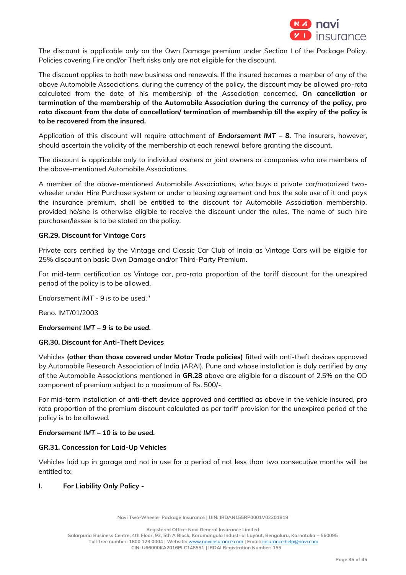

The discount is applicable only on the Own Damage premium under Section I of the Package Policy. Policies covering Fire and/or Theft risks only are not eligible for the discount.

The discount applies to both new business and renewals. If the insured becomes a member of any of the above Automobile Associations, during the currency of the policy, the discount may be allowed pro-rata calculated from the date of his membership of the Association concerned**. On cancellation or termination of the membership of the Automobile Association during the currency of the policy, pro rata discount from the date of cancellation/ termination of membership till the expiry of the policy is to be recovered from the insured.**

Application of this discount will require attachment of *Endorsement IMT – 8.* The insurers, however, should ascertain the validity of the membership at each renewal before granting the discount.

The discount is applicable only to individual owners or joint owners or companies who are members of the above-mentioned Automobile Associations.

A member of the above-mentioned Automobile Associations, who buys a private car/motorized twowheeler under Hire Purchase system or under a leasing agreement and has the sole use of it and pays the insurance premium, shall be entitled to the discount for Automobile Association membership, provided he/she is otherwise eligible to receive the discount under the rules. The name of such hire purchaser/lessee is to be stated on the policy.

## **GR.29. Discount for Vintage Cars**

Private cars certified by the Vintage and Classic Car Club of India as Vintage Cars will be eligible for 25% discount on basic Own Damage and/or Third-Party Premium.

For mid-term certification as Vintage car, pro-rata proportion of the tariff discount for the unexpired period of the policy is to be allowed.

*Endorsement IMT - 9 is to be used."*

Reno. IMT/01/2003

## *Endorsement IMT – 9 is to be used.*

## **GR.30. Discount for Anti-Theft Devices**

Vehicles **(other than those covered under Motor Trade policies)** fitted with anti-theft devices approved by Automobile Research Association of India (ARAI), Pune and whose installation is duly certified by any of the Automobile Associations mentioned in **GR.28** above are eligible for a discount of 2.5% on the OD component of premium subject to a maximum of Rs. 500/-.

For mid-term installation of anti-theft device approved and certified as above in the vehicle insured, pro rata proportion of the premium discount calculated as per tariff provision for the unexpired period of the policy is to be allowed.

#### *Endorsement IMT – 10 is to be used.*

## **GR.31. Concession for Laid-Up Vehicles**

Vehicles laid up in garage and not in use for a period of not less than two consecutive months will be entitled to:

#### **I. For Liability Only Policy -**

**Navi Two-Wheeler Package Insurance | UIN: IRDAN155RP0001V02201819**

**Registered Office: Navi General Insurance Limited**

**Salarpuria Business Centre, 4th Floor, 93, 5th A Block, Koramangala Industrial Layout, Bengaluru, Karnataka – 560095 Toll-free number: 1800 123 0004 | Website:** [www.naviinsurance.com](http://www.naviinsurance.com/) **| Email:** [insurance.help@navi.com](mailto:insurance.help@navi.com)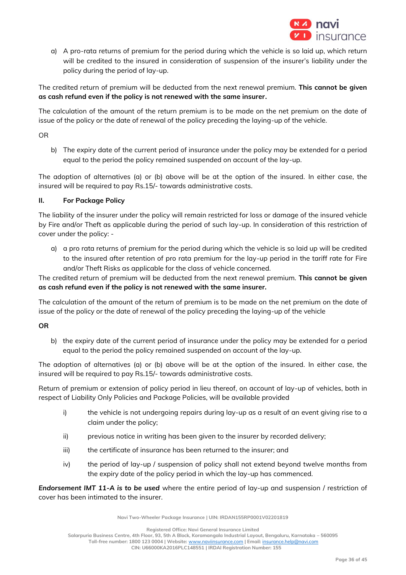

a) A pro-rata returns of premium for the period during which the vehicle is so laid up, which return will be credited to the insured in consideration of suspension of the insurer's liability under the policy during the period of lay-up.

The credited return of premium will be deducted from the next renewal premium. **This cannot be given as cash refund even if the policy is not renewed with the same insurer.**

The calculation of the amount of the return premium is to be made on the net premium on the date of issue of the policy or the date of renewal of the policy preceding the laying-up of the vehicle.

OR

b) The expiry date of the current period of insurance under the policy may be extended for a period equal to the period the policy remained suspended on account of the lay-up.

The adoption of alternatives (a) or (b) above will be at the option of the insured. In either case, the insured will be required to pay Rs.15/- towards administrative costs.

# **II. For Package Policy**

The liability of the insurer under the policy will remain restricted for loss or damage of the insured vehicle by Fire and/or Theft as applicable during the period of such lay-up. In consideration of this restriction of cover under the policy: -

a) a pro rata returns of premium for the period during which the vehicle is so laid up will be credited to the insured after retention of pro rata premium for the lay-up period in the tariff rate for Fire and/or Theft Risks as applicable for the class of vehicle concerned.

The credited return of premium will be deducted from the next renewal premium. **This cannot be given as cash refund even if the policy is not renewed with the same insurer.**

The calculation of the amount of the return of premium is to be made on the net premium on the date of issue of the policy or the date of renewal of the policy preceding the laying-up of the vehicle

# **OR**

b) the expiry date of the current period of insurance under the policy may be extended for a period equal to the period the policy remained suspended on account of the lay-up.

The adoption of alternatives (a) or (b) above will be at the option of the insured. In either case, the insured will be required to pay Rs.15/- towards administrative costs.

Return of premium or extension of policy period in lieu thereof, on account of lay-up of vehicles, both in respect of Liability Only Policies and Package Policies, will be available provided

- i) the vehicle is not undergoing repairs during lay-up as a result of an event giving rise to a claim under the policy;
- ii) previous notice in writing has been given to the insurer by recorded delivery;
- iii) the certificate of insurance has been returned to the insurer; and
- iv) the period of lay-up / suspension of policy shall not extend beyond twelve months from the expiry date of the policy period in which the lay-up has commenced.

*Endorsement IMT 11-A is to be used* where the entire period of lay-up and suspension / restriction of cover has been intimated to the insurer.

**Navi Two-Wheeler Package Insurance | UIN: IRDAN155RP0001V02201819**

**Registered Office: Navi General Insurance Limited**

**Salarpuria Business Centre, 4th Floor, 93, 5th A Block, Koramangala Industrial Layout, Bengaluru, Karnataka – 560095**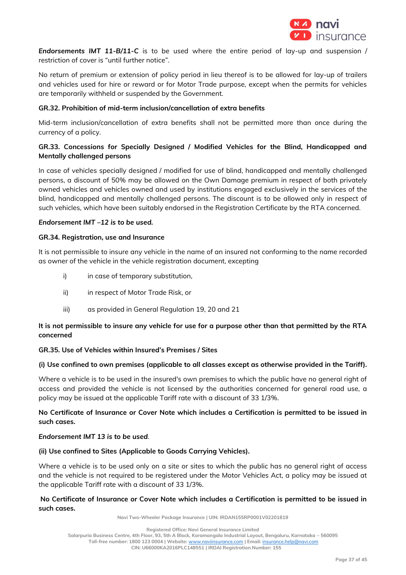

*Endorsements IMT 11-B/11-C* is to be used where the entire period of lay-up and suspension / restriction of cover is "until further notice".

No return of premium or extension of policy period in lieu thereof is to be allowed for lay-up of trailers and vehicles used for hire or reward or for Motor Trade purpose, except when the permits for vehicles are temporarily withheld or suspended by the Government.

## **GR.32. Prohibition of mid-term inclusion/cancellation of extra benefits**

Mid-term inclusion/cancellation of extra benefits shall not be permitted more than once during the currency of a policy.

# **GR.33. Concessions for Specially Designed / Modified Vehicles for the Blind, Handicapped and Mentally challenged persons**

In case of vehicles specially designed / modified for use of blind, handicapped and mentally challenged persons, a discount of 50% may be allowed on the Own Damage premium in respect of both privately owned vehicles and vehicles owned and used by institutions engaged exclusively in the services of the blind, handicapped and mentally challenged persons. The discount is to be allowed only in respect of such vehicles, which have been suitably endorsed in the Registration Certificate by the RTA concerned.

## *Endorsement IMT –12 is to be used.*

#### **GR.34. Registration, use and Insurance**

It is not permissible to insure any vehicle in the name of an insured not conforming to the name recorded as owner of the vehicle in the vehicle registration document, excepting

- i) in case of temporary substitution,
- ii) in respect of Motor Trade Risk, or
- iii) as provided in General Regulation 19, 20 and 21

# **It is not permissible to insure any vehicle for use for a purpose other than that permitted by the RTA concerned**

## **GR.35. Use of Vehicles within Insured's Premises / Sites**

## **(i) Use confined to own premises (applicable to all classes except as otherwise provided in the Tariff).**

Where a vehicle is to be used in the insured's own premises to which the public have no general right of access and provided the vehicle is not licensed by the authorities concerned for general road use, a policy may be issued at the applicable Tariff rate with a discount of 33 1/3%.

# **No Certificate of Insurance or Cover Note which includes a Certification is permitted to be issued in such cases.**

#### *Endorsement IMT 13 is to be used.*

## **(ii) Use confined to Sites (Applicable to Goods Carrying Vehicles).**

Where a vehicle is to be used only on a site or sites to which the public has no general right of access and the vehicle is not required to be registered under the Motor Vehicles Act, a policy may be issued at the applicable Tariff rate with a discount of 33 1/3%.

## **No Certificate of Insurance or Cover Note which includes a Certification is permitted to be issued in such cases.**

**Navi Two-Wheeler Package Insurance | UIN: IRDAN155RP0001V02201819**

**Registered Office: Navi General Insurance Limited**

**Salarpuria Business Centre, 4th Floor, 93, 5th A Block, Koramangala Industrial Layout, Bengaluru, Karnataka – 560095**

**Toll-free number: 1800 123 0004 | Website:** [www.naviinsurance.com](http://www.naviinsurance.com/) **| Email:** [insurance.help@navi.com](mailto:insurance.help@navi.com)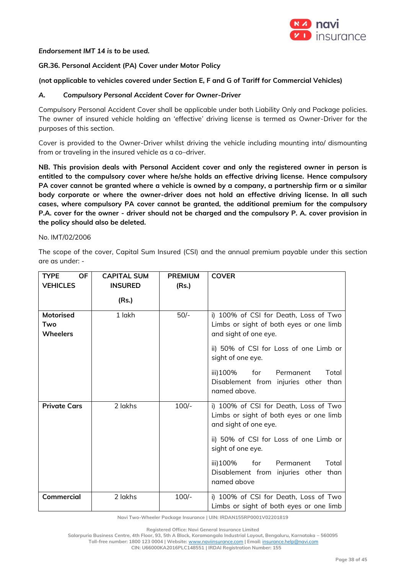

## *Endorsement IMT 14 is to be used.*

# **GR.36. Personal Accident (PA) Cover under Motor Policy**

## **(not applicable to vehicles covered under Section E, F and G of Tariff for Commercial Vehicles)**

#### *A. Compulsory Personal Accident Cover for Owner-Driver*

Compulsory Personal Accident Cover shall be applicable under both Liability Only and Package policies. The owner of insured vehicle holding an 'effective' driving license is termed as Owner-Driver for the purposes of this section.

Cover is provided to the Owner-Driver whilst driving the vehicle including mounting into/ dismounting from or traveling in the insured vehicle as a co–driver.

**NB. This provision deals with Personal Accident cover and only the registered owner in person is entitled to the compulsory cover where he/she holds an effective driving license. Hence compulsory PA cover cannot be granted where a vehicle is owned by a company, a partnership firm or a similar body corporate or where the owner-driver does not hold an effective driving license. In all such cases, where compulsory PA cover cannot be granted, the additional premium for the compulsory P.A. cover for the owner - driver should not be charged and the compulsory P. A. cover provision in the policy should also be deleted.** 

#### No. IMT/02/2006

The scope of the cover, Capital Sum Insured (CSI) and the annual premium payable under this section are as under: -

| <b>OF</b><br><b>TYPE</b><br><b>VEHICLES</b> | <b>CAPITAL SUM</b><br><b>INSURED</b> | <b>PREMIUM</b><br>(Rs.) | <b>COVER</b>                                                                                              |
|---------------------------------------------|--------------------------------------|-------------------------|-----------------------------------------------------------------------------------------------------------|
|                                             | (Rs.)                                |                         |                                                                                                           |
| <b>Motorised</b><br>Two<br><b>Wheelers</b>  | 1 lakh                               | $50/-$                  | i) 100% of CSI for Death, Loss of Two<br>Limbs or sight of both eyes or one limb<br>and sight of one eye. |
|                                             |                                      |                         | ii) 50% of CSI for Loss of one Limb or<br>sight of one eye.                                               |
|                                             |                                      |                         | iii)100%<br>for<br>Permanent<br>Total<br>Disablement from injuries other than<br>named above.             |
| <b>Private Cars</b>                         | 2 lakhs                              | $100/-$                 | i) 100% of CSI for Death, Loss of Two<br>Limbs or sight of both eyes or one limb<br>and sight of one eye. |
|                                             |                                      |                         | ii) 50% of CSI for Loss of one Limb or<br>sight of one eye.                                               |
|                                             |                                      |                         | iii)100%<br>for<br>Permanent<br>Total<br>Disablement from injuries other than<br>named above              |
| Commercial                                  | 2 lakhs                              | $100/-$                 | i) 100% of CSI for Death, Loss of Two<br>Limbs or sight of both eyes or one limb                          |

**Navi Two-Wheeler Package Insurance | UIN: IRDAN155RP0001V02201819**

**Registered Office: Navi General Insurance Limited**

**Salarpuria Business Centre, 4th Floor, 93, 5th A Block, Koramangala Industrial Layout, Bengaluru, Karnataka – 560095 Toll-free number: 1800 123 0004 | Website:** [www.naviinsurance.com](http://www.naviinsurance.com/) **| Email:** [insurance.help@navi.com](mailto:insurance.help@navi.com)

**CIN: U66000KA2016PLC148551 | IRDAI Registration Number: 155**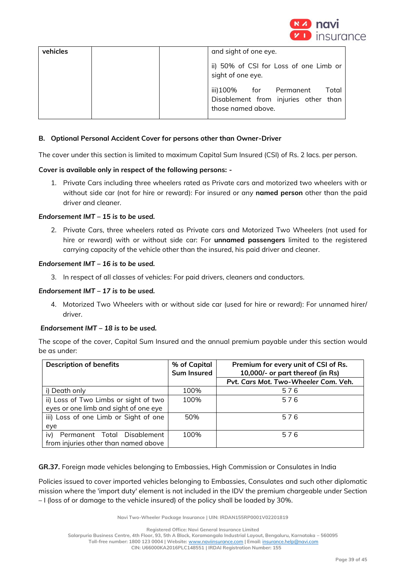

| vehicles | and sight of one eye.                                                                            |
|----------|--------------------------------------------------------------------------------------------------|
|          | ii) 50% of CSI for Loss of one Limb or<br>sight of one eye.                                      |
|          | iii)100%<br>for Permanent<br>Total<br>Disablement from injuries other than<br>those named above. |

## **B. Optional Personal Accident Cover for persons other than Owner-Driver**

The cover under this section is limited to maximum Capital Sum Insured (CSI) of Rs. 2 lacs. per person.

## **Cover is available only in respect of the following persons: -**

1. Private Cars including three wheelers rated as Private cars and motorized two wheelers with or without side car (not for hire or reward): For insured or any **named person** other than the paid driver and cleaner.

## *Endorsement IMT – 15 is to be used.*

2. Private Cars, three wheelers rated as Private cars and Motorized Two Wheelers (not used for hire or reward) with or without side car: For **unnamed passengers** limited to the registered carrying capacity of the vehicle other than the insured, his paid driver and cleaner.

## *Endorsement IMT – 16 is to be used.*

3. In respect of all classes of vehicles: For paid drivers, cleaners and conductors.

## *Endorsement IMT – 17 is to be used.*

4. Motorized Two Wheelers with or without side car (used for hire or reward): For unnamed hirer/ driver.

## *Endorsement IMT – 18 is to be used.*

The scope of the cover, Capital Sum Insured and the annual premium payable under this section would be as under:

| <b>Description of benefits</b>        | % of Capital<br><b>Sum Insured</b> | Premium for every unit of CSI of Rs.<br>10,000/- or part thereof (in Rs) |
|---------------------------------------|------------------------------------|--------------------------------------------------------------------------|
|                                       |                                    | Pvt. Cars Mot. Two-Wheeler Com. Veh.                                     |
| i) Death only                         | 100%                               | 576                                                                      |
| ii) Loss of Two Limbs or sight of two | 100%                               | 576                                                                      |
| eyes or one limb and sight of one eye |                                    |                                                                          |
| iii) Loss of one Limb or Sight of one | 50%                                | 576                                                                      |
| eye                                   |                                    |                                                                          |
| iv)<br>Permanent Total Disablement    | 100%                               | 576                                                                      |
| from injuries other than named above  |                                    |                                                                          |

**GR.37.** Foreign made vehicles belonging to Embassies, High Commission or Consulates in India

Policies issued to cover imported vehicles belonging to Embassies, Consulates and such other diplomatic mission where the 'import duty' element is not included in the IDV the premium chargeable under Section – I (loss of or damage to the vehicle insured) of the policy shall be loaded by 30%.

**Navi Two-Wheeler Package Insurance | UIN: IRDAN155RP0001V02201819**

**Salarpuria Business Centre, 4th Floor, 93, 5th A Block, Koramangala Industrial Layout, Bengaluru, Karnataka – 560095**

**Registered Office: Navi General Insurance Limited**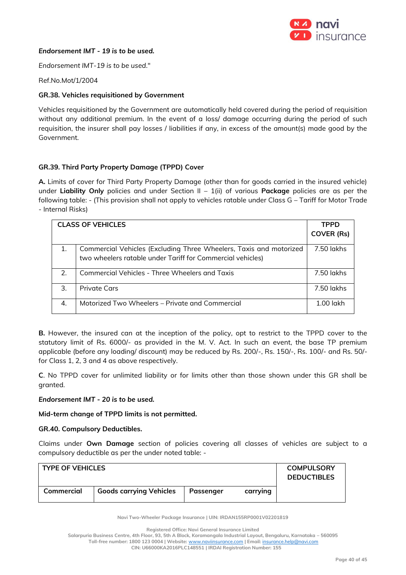

#### *Endorsement IMT - 19 is to be used.*

*Endorsement IMT-19 is to be used*."

#### Ref.No.Mot/1/2004

#### **GR.38. Vehicles requisitioned by Government**

Vehicles requisitioned by the Government are automatically held covered during the period of requisition without any additional premium. In the event of a loss/ damage occurring during the period of such requisition, the insurer shall pay losses / liabilities if any, in excess of the amount(s) made good by the Government.

## **GR.39. Third Party Property Damage (TPPD) Cover**

**A.** Limits of cover for Third Party Property Damage (other than for goods carried in the insured vehicle) under **Liability Only** policies and under Section II – 1(ii) of various **Package** policies are as per the following table: - (This provision shall not apply to vehicles ratable under Class G – Tariff for Motor Trade - Internal Risks)

|    | <b>CLASS OF VEHICLES</b>                                                                                                         | <b>TPPD</b>       |
|----|----------------------------------------------------------------------------------------------------------------------------------|-------------------|
|    |                                                                                                                                  | <b>COVER (Rs)</b> |
|    | Commercial Vehicles (Excluding Three Wheelers, Taxis and motorized<br>two wheelers ratable under Tariff for Commercial vehicles) | 7.50 lakhs        |
| 2. | <b>Commercial Vehicles - Three Wheelers and Taxis</b>                                                                            | 7.50 lakhs        |
| 3. | <b>Private Cars</b>                                                                                                              | $7.50$ lakhs      |
| 4. | Motorized Two Wheelers - Private and Commercial                                                                                  | $1.00$ lakh       |

**B.** However, the insured can at the inception of the policy, opt to restrict to the TPPD cover to the statutory limit of Rs. 6000/- as provided in the M. V. Act. In such an event, the base TP premium applicable (before any loading/ discount) may be reduced by Rs. 200/-, Rs. 150/-, Rs. 100/- and Rs. 50/ for Class 1, 2, 3 and 4 as above respectively.

**C**. No TPPD cover for unlimited liability or for limits other than those shown under this GR shall be granted.

#### *Endorsement IMT - 20 is to be used.*

**Mid-term change of TPPD limits is not permitted.** 

#### **GR.40. Compulsory Deductibles.**

Claims under **Own Damage** section of policies covering all classes of vehicles are subject to a compulsory deductible as per the under noted table: -

| <b>TYPE OF VEHICLES</b> |                                |           |          | <b>COMPULSORY</b><br><b>DEDUCTIBLES</b> |
|-------------------------|--------------------------------|-----------|----------|-----------------------------------------|
| Commercial              | <b>Goods carrying Vehicles</b> | Passenger | carrying |                                         |

**Navi Two-Wheeler Package Insurance | UIN: IRDAN155RP0001V02201819**

**Salarpuria Business Centre, 4th Floor, 93, 5th A Block, Koramangala Industrial Layout, Bengaluru, Karnataka – 560095 Toll-free number: 1800 123 0004 | Website:** [www.naviinsurance.com](http://www.naviinsurance.com/) **| Email:** [insurance.help@navi.com](mailto:insurance.help@navi.com)

**Registered Office: Navi General Insurance Limited**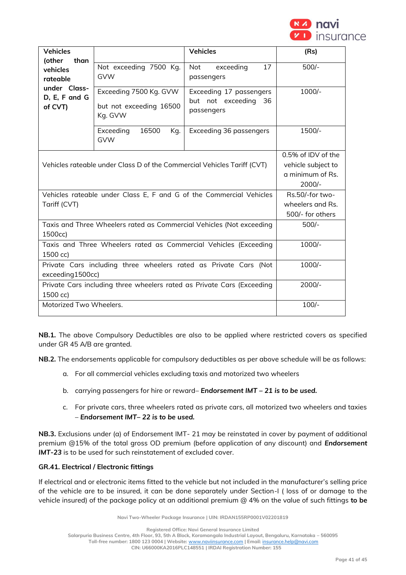

| <b>Vehicles</b><br>(other<br>than                                                    |                                                                          | <b>Vehicles</b>                                                  | (Rs)                                                    |
|--------------------------------------------------------------------------------------|--------------------------------------------------------------------------|------------------------------------------------------------------|---------------------------------------------------------|
| vehicles<br>rateable<br>under Class-<br>D, E, F and G<br>of CVT)                     | Not exceeding 7500 Kg.<br><b>GVW</b>                                     | 17<br><b>Not</b><br>exceeding<br>passengers                      | $500/-$                                                 |
|                                                                                      | Exceeding 7500 Kg. GVW<br>but not exceeding 16500<br>Kg. GVW             | Exceeding 17 passengers<br>but not exceeding<br>36<br>passengers | 1000/-                                                  |
|                                                                                      | Exceeding<br>16500<br>Kg.<br><b>GVW</b>                                  | Exceeding 36 passengers                                          | 1500/-                                                  |
| Vehicles rateable under Class D of the Commercial Vehicles Tariff (CVT)              | 0.5% of IDV of the<br>vehicle subject to<br>a minimum of Rs.<br>$2000/-$ |                                                                  |                                                         |
| Vehicles rateable under Class E, F and G of the Commercial Vehicles<br>Tariff (CVT)  |                                                                          |                                                                  | Rs.50/-for two-<br>wheelers and Rs.<br>500/- for others |
| Taxis and Three Wheelers rated as Commercial Vehicles (Not exceeding<br>1500cc)      |                                                                          |                                                                  | $500/-$                                                 |
| Taxis and Three Wheelers rated as Commercial Vehicles (Exceeding<br>1500 cc)         |                                                                          |                                                                  | $1000/-$                                                |
| Private Cars including three wheelers rated as Private Cars (Not<br>exceeding1500cc) |                                                                          |                                                                  | $1000/-$                                                |
| Private Cars including three wheelers rated as Private Cars (Exceeding<br>1500 cc)   |                                                                          |                                                                  | $2000/-$                                                |
| Motorized Two Wheelers.                                                              |                                                                          |                                                                  | $100/-$                                                 |

**NB.1.** The above Compulsory Deductibles are also to be applied where restricted covers as specified under GR 45 A/B are granted.

**NB.2.** The endorsements applicable for compulsory deductibles as per above schedule will be as follows:

- a. For all commercial vehicles excluding taxis and motorized two wheelers
- b. carrying passengers for hire or reward– *Endorsement IMT – 21 is to be used.*
- c. For private cars, three wheelers rated as private cars, all motorized two wheelers and taxies – *Endorsement IMT– 22 is to be used.*

**NB.3.** Exclusions under (a) of Endorsement IMT- 21 may be reinstated in cover by payment of additional premium @15% of the total gross OD premium (before application of any discount) and *Endorsement IMT-23* is to be used for such reinstatement of excluded cover.

## **GR.41. Electrical / Electronic fittings**

If electrical and or electronic items fitted to the vehicle but not included in the manufacturer's selling price of the vehicle are to be insured, it can be done separately under Section-I ( loss of or damage to the vehicle insured) of the package policy at an additional premium @ 4% on the value of such fittings **to be** 

**Navi Two-Wheeler Package Insurance | UIN: IRDAN155RP0001V02201819**

**Registered Office: Navi General Insurance Limited**

**Salarpuria Business Centre, 4th Floor, 93, 5th A Block, Koramangala Industrial Layout, Bengaluru, Karnataka – 560095**

**Toll-free number: 1800 123 0004 | Website:** [www.naviinsurance.com](http://www.naviinsurance.com/) **| Email:** [insurance.help@navi.com](mailto:insurance.help@navi.com)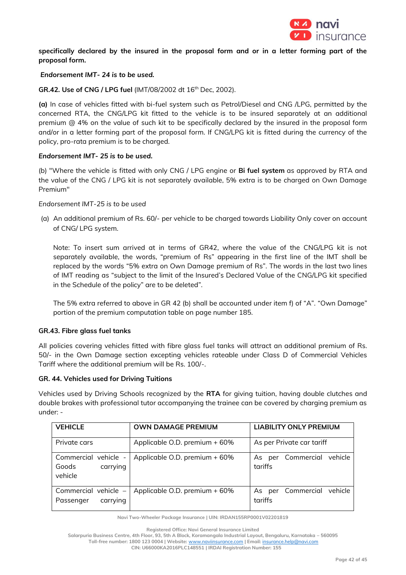

**specifically declared by the insured in the proposal form and or in a letter forming part of the proposal form.**

#### *Endorsement IMT- 24 is to be used.*

**GR.42. Use of CNG / LPG fuel** (IMT/08/2002 dt 16th Dec, 2002).

**(a)** In case of vehicles fitted with bi-fuel system such as Petrol/Diesel and CNG /LPG, permitted by the concerned RTA, the CNG/LPG kit fitted to the vehicle is to be insured separately at an additional premium @ 4% on the value of such kit to be specifically declared by the insured in the proposal form and/or in a letter forming part of the proposal form. If CNG/LPG kit is fitted during the currency of the policy, pro-rata premium is to be charged.

#### *Endorsement IMT- 25 is to be used.*

(b) "Where the vehicle is fitted with only CNG / LPG engine or **Bi fuel system** as approved by RTA and the value of the CNG / LPG kit is not separately available, 5% extra is to be charged on Own Damage Premium"

*Endorsement IMT-25 is to be used*

(a) An additional premium of Rs. 60/- per vehicle to be charged towards Liability Only cover on account of CNG/ LPG system.

Note: To insert sum arrived at in terms of GR42, where the value of the CNG/LPG kit is not separately available, the words, "premium of Rs" appearing in the first line of the IMT shall be replaced by the words "5% extra on Own Damage premium of Rs". The words in the last two lines of IMT reading as "subject to the limit of the Insured's Declared Value of the CNG/LPG kit specified in the Schedule of the policy" are to be deleted".

The 5% extra referred to above in GR 42 (b) shall be accounted under item f) of "A". "Own Damage" portion of the premium computation table on page number 185.

## **GR.43. Fibre glass fuel tanks**

All policies covering vehicles fitted with fibre glass fuel tanks will attract an additional premium of Rs. 50/- in the Own Damage section excepting vehicles rateable under Class D of Commercial Vehicles Tariff where the additional premium will be Rs. 100/-.

#### **GR. 44. Vehicles used for Driving Tuitions**

Vehicles used by Driving Schools recognized by the **RTA** for giving tuition, having double clutches and double brakes with professional tutor accompanying the trainee can be covered by charging premium as under: -

| <b>VEHICLE</b>                                       | <b>OWN DAMAGE PREMIUM</b>     | <b>LIABILITY ONLY PREMIUM</b>           |
|------------------------------------------------------|-------------------------------|-----------------------------------------|
| Private cars                                         | Applicable O.D. premium + 60% | As per Private car tariff               |
| Commercial vehicle -<br>carrying<br>Goods<br>vehicle | Applicable O.D. premium + 60% | As per Commercial<br>vehicle<br>tariffs |
| Commercial vehicle -<br>carrying<br>Passenger        | Applicable O.D. premium + 60% | As per Commercial<br>vehicle<br>tariffs |

**Navi Two-Wheeler Package Insurance | UIN: IRDAN155RP0001V02201819**

**Salarpuria Business Centre, 4th Floor, 93, 5th A Block, Koramangala Industrial Layout, Bengaluru, Karnataka – 560095 Toll-free number: 1800 123 0004 | Website:** [www.naviinsurance.com](http://www.naviinsurance.com/) **| Email:** [insurance.help@navi.com](mailto:insurance.help@navi.com)

**Registered Office: Navi General Insurance Limited**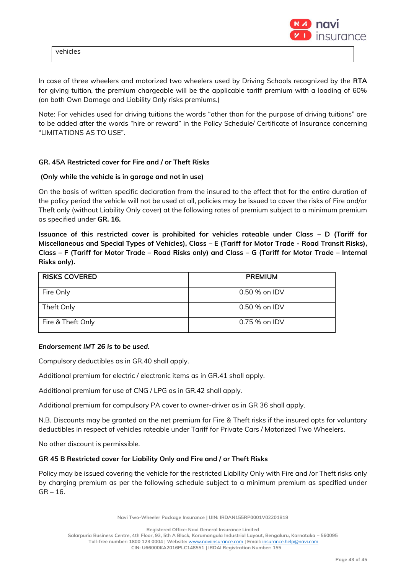

| ∸ו |  |
|----|--|

In case of three wheelers and motorized two wheelers used by Driving Schools recognized by the **RTA** for giving tuition, the premium chargeable will be the applicable tariff premium with a loading of 60% (on both Own Damage and Liability Only risks premiums.)

Note: For vehicles used for driving tuitions the words "other than for the purpose of driving tuitions" are to be added after the words "hire or reward" in the Policy Schedule/ Certificate of Insurance concerning "LIMITATIONS AS TO USE".

## **GR. 45A Restricted cover for Fire and / or Theft Risks**

## **(Only while the vehicle is in garage and not in use)**

On the basis of written specific declaration from the insured to the effect that for the entire duration of the policy period the vehicle will not be used at all, policies may be issued to cover the risks of Fire and/or Theft only (without Liability Only cover) at the following rates of premium subject to a minimum premium as specified under **GR. 16.**

**Issuance of this restricted cover is prohibited for vehicles rateable under Class – D (Tariff for Miscellaneous and Special Types of Vehicles), Class – E (Tariff for Motor Trade - Road Transit Risks), Class – F (Tariff for Motor Trade – Road Risks only) and Class – G (Tariff for Motor Trade – Internal Risks only).**

| <b>RISKS COVERED</b> | <b>PREMIUM</b> |
|----------------------|----------------|
| Fire Only            | 0.50 % on IDV  |
| Theft Only           | 0.50 % on IDV  |
| Fire & Theft Only    | $0.75%$ on IDV |

## *Endorsement IMT 26 is to be used.*

Compulsory deductibles as in GR.40 shall apply.

Additional premium for electric / electronic items as in GR.41 shall apply.

Additional premium for use of CNG / LPG as in GR.42 shall apply.

Additional premium for compulsory PA cover to owner-driver as in GR 36 shall apply.

N.B. Discounts may be granted on the net premium for Fire & Theft risks if the insured opts for voluntary deductibles in respect of vehicles rateable under Tariff for Private Cars / Motorized Two Wheelers.

No other discount is permissible.

#### **GR 45 B Restricted cover for Liability Only and Fire and / or Theft Risks**

Policy may be issued covering the vehicle for the restricted Liability Only with Fire and /or Theft risks only by charging premium as per the following schedule subject to a minimum premium as specified under  $GR - 16.$ 

**Navi Two-Wheeler Package Insurance | UIN: IRDAN155RP0001V02201819**

**Registered Office: Navi General Insurance Limited**

**Salarpuria Business Centre, 4th Floor, 93, 5th A Block, Koramangala Industrial Layout, Bengaluru, Karnataka – 560095**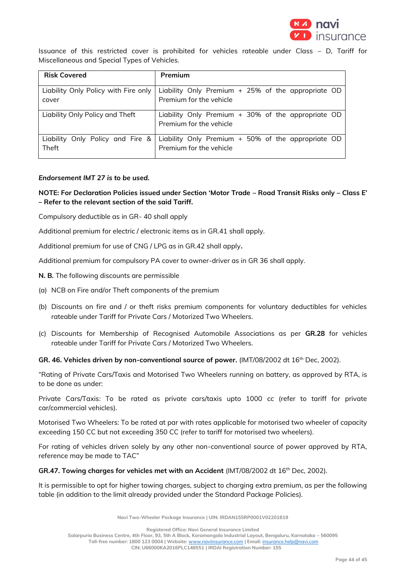

Issuance of this restricted cover is prohibited for vehicles rateable under Class – D, Tariff for Miscellaneous and Special Types of Vehicles.

| <b>Risk Covered</b>                  | Premium                                                                         |
|--------------------------------------|---------------------------------------------------------------------------------|
| Liability Only Policy with Fire only | Liability Only Premium + 25% of the appropriate OD                              |
| cover                                | Premium for the vehicle                                                         |
| Liability Only Policy and Theft      | Liability Only Premium $+$ 30% of the appropriate OD<br>Premium for the vehicle |
| Liability Only Policy and Fire &     | Liability Only Premium $+50\%$ of the appropriate OD                            |
| Theft                                | Premium for the vehicle                                                         |

# *Endorsement IMT 27 is to be used.*

# **NOTE: For Declaration Policies issued under Section 'Motor Trade – Road Transit Risks only – Class E' – Refer to the relevant section of the said Tariff.**

Compulsory deductible as in GR- 40 shall apply

Additional premium for electric / electronic items as in GR.41 shall apply.

Additional premium for use of CNG / LPG as in GR.42 shall apply**.**

Additional premium for compulsory PA cover to owner-driver as in GR 36 shall apply.

- **N. B.** The following discounts are permissible
- (a) NCB on Fire and/or Theft components of the premium
- (b) Discounts on fire and / or theft risks premium components for voluntary deductibles for vehicles rateable under Tariff for Private Cars / Motorized Two Wheelers.
- (c) Discounts for Membership of Recognised Automobile Associations as per **GR.28** for vehicles rateable under Tariff for Private Cars / Motorized Two Wheelers.

**GR. 46. Vehicles driven by non-conventional source of power.** (IMT/08/2002 dt 16th Dec, 2002).

"Rating of Private Cars/Taxis and Motorised Two Wheelers running on battery, as approved by RTA, is to be done as under:

Private Cars/Taxis: To be rated as private cars/taxis upto 1000 cc (refer to tariff for private car/commercial vehicles).

Motorised Two Wheelers: To be rated at par with rates applicable for motorised two wheeler of capacity exceeding 150 CC but not exceeding 350 CC (refer to tariff for motorised two wheelers).

For rating of vehicles driven solely by any other non-conventional source of power approved by RTA, reference may be made to TAC"

GR.47. Towing charges for vehicles met with an Accident (IMT/08/2002 dt 16<sup>th</sup> Dec, 2002).

It is permissible to opt for higher towing charges, subject to charging extra premium, as per the following table (in addition to the limit already provided under the Standard Package Policies).

**Navi Two-Wheeler Package Insurance | UIN: IRDAN155RP0001V02201819**

**Registered Office: Navi General Insurance Limited**

**Salarpuria Business Centre, 4th Floor, 93, 5th A Block, Koramangala Industrial Layout, Bengaluru, Karnataka – 560095**

**Toll-free number: 1800 123 0004 | Website:** [www.naviinsurance.com](http://www.naviinsurance.com/) **| Email:** [insurance.help@navi.com](mailto:insurance.help@navi.com)